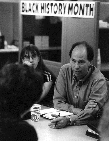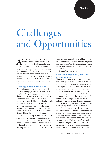# **Challenges and Opportunities**

**A**<br>efforts studied in this inquiry vary<br>widely in their implementation and<br>scope they face a number of common chal**efforts studied in this inquiry vary widely in their implementation and scope, they face a number of common challenges and opportunities. This research suggests a number of lessons that can influence the effectiveness and potential of public engagement and that will require a concerted response if the work of schools and communities is to mature into a long-term strategy for school improvement.** 

#### *1. Most engagement efforts work in isolation.*

**While a handful of regional and national networks of engagement efforts exist, most people working in engagement know little about their counterparts, whether across the country or across town. Some national networks, such as the Public Education Network, do serve to connect individual local efforts, and some individual statewide efforts are connected and support one another through organizations such as the National Business Roundtable or the Columbia Group.**

**Yet, the majority of engagement efforts involve people who are working locally to build connections between their individual schools and communities. They do not think of themselves as part of any national effort, and very often do not know of similar efforts**

**in their own communities. In addition, they are blazing their own trails and creating their own knowledge. Very few materials, resources, successful strategies, or listing of models are available to support them; and what is available is often not known to them.**

# *2. Few engagement efforts have gone to "scale," as traditionally defined.*

**Many wonder how public engagement can expand or "go to scale." Taking initiatives to scale usually requires one of two approaches – the replication of a particular model in a variety of places, or the vast expansion of efforts within one jurisdiction. Because the nature of engagement is uniquely local, it does not fit neatly into these traditional definitions of scale. Engagement efforts are difficult to expand to ever-larger geographic regions, just as they are difficult to disseminate from the top down or to replicate by fiat.** 

**Given the great diversity in people and circumstances, leadership, school quality, and issues within a community or district, it is unlikely that all schools, parents, and the public would be engaged at the same time at the same levels. "Going to scale" in public engagement might, instead, be viewed as the increasing prevalence of locally grounded support for schools and school change, each**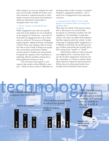**effort acting in its own way. Support for scale may not be locally available but rather come from national or regional networks or information resources accessed by local initiatives, which use information and models to strengthen their own work.**

# *3. "Process" outcomes are powerful but hard to measure.*

**Public engagement may seek very specific ends such as the adoption of a set of standards or the passage of a bond issue – but much of the benefit of engagement lies in how those ends are achieved. The process of bringing people together, talking, listening, developing a shared vision, and creating a plan of action has value in and of itself. It brings new people into conversation and decision making around schools. It builds trust and goodwill. It expands the capacity of the community to undertake effective problem solving and to bring additional resources to bear.** 

**The increased social capital or civic capacity that results is often difficult to measure – which can lead at times to difficulties in** **attracting either media coverage or sustained funding to engagement initiatives – but is surely one of engagement's most important outcomes.** 

# *4. Community-driven efforts are more readily apparent, but education leaders are driving some significant efforts.*

**More than two-thirds of the projects identified in this project were started either by parents or community members who felt impelled to "do something" to help their schools. The other one-third of the initiatives had their impetus inside the schools. At this early stage in mapping public engagement, it is difficult to determine the specific percentage of efforts nationwide that actually derive their energy from "outside" or "inside."** 

**School-driven efforts are often motivated and enlightened by a visionary leader who sees the broader engagement of parents and the community as a means to sustain reform efforts that have impacted school personnel. Efforts driven by educational leaders have brought about substantial achievements –**

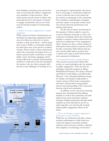**from building community trust and involvement to increasing the ability to implement new standards or other practices. These achievements provide reason to believe that increasing the** *desire* **and** *capacity* **of schools to engage communities may be one of the most promising strategies for long-lasting reform.**

# *5. Teachers are not yet a significant force in public engagement.*

**While school and district administrators are initiating and supporting engagement initiatives, few efforts are driven by or involve teachers or their local unions – and for legitimate reasons. Public or community relations has often been seen as the purview of administration. Direct teacher contact with parents and/or the community has largely been confined to parent-teacher conferences or major public events. Involving, engaging, and listening reflectively to parents and community members is rarely part of the job description for teachers, who are often consumed with the day-to-day challenges of teaching. It is a**



Source: U.S. Department of Education, National Center for Education Statistics

**rare principal or superintendent who knows how to encourage or model these behaviors or how to find the time in the school day for teachers to participate in the community. New mandates, methodologies, strategies, and tests require even greater teacher attention toward classroom performance and student achievement.**

**Yet the lack of teacher involvement in the majority of efforts studied is cause for concern. Educators must play as vital a role as parents in bringing school and community together to improve student achievement and must be an integral part of any engagement effort. Teachers are also a critical conduit of information about schools to parents and the broader community. Polls indicate that parents and the public believe teachers have a central role to play in both school reform and community revitalization.**

# *6. The potential of students is largely untapped.*

**This research uncovered few efforts that involve or create leadership roles for students in public engagement. Those few that do – including a statewide program in Maine; Plainfield and Paterson, New Jersey; Howard and Pollock, South Dakota; and Pattonville, Missouri – have unleashed significant energy for change, encouraged young people to remain citizens of their home communities and states, and increased young people's interest and understanding of the connection between school and community.** 

**In addition, service and service-learning projects have demonstrated that linking students to work in the community can both address local needs and bolster students' learning. Finding mechanisms through which students can focus this kind of service on improving their own schools will certainly deepen public engagement efforts in the future.** 

# *7. The use of technology to support engagement is growing but is not yet widespread.*

**While the use of Internet and other communications technologies to build action networks and support community problem solving is more and more common, relatively little emphasis on technology was found in**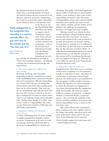**the education projects reviewed for this study. Since a growing number of schools and school systems are now connected to the Internet, and more and more communities have local-access networks (many with publicaccess features), there is considerable room** 

**Public engagement is… the recognition that education is a communitywide effort. You just can't turn to the schools and say, "You take care of it."**

**DON VANMETER Ohio's BEST**

**in the future to use the World Wide Web and other new media to support schoolcommunity connections. Some national actors with interests in both education and technology – such as the George Lucas Educational Foundation, the Benton Foundation, the Annenberg/**cpb **pro-**

**ject**, and the **IBM** Foundation through its **"Wired for Learning" initiative – are playing a strong role in advancing knowledge and interest here.** 

## *8. The work of engagement is difficult to do and to sustain.*

**Reaching, involving, and continually responding to diverse constituencies is hard work. Establishing those connections will take time and commitment, difficult commodities in a society where the pace of change has increased the expectation that complex problems can be solved quickly. This work can also be intimidating, especially for those who have not felt welcome in schools or do not have a background of action in citizen causes. There is no roadmap of clear and predictable tasks. And for many people, it is either "volunteer" work or a responsibility that comes on top of the heavy burdens of full-time jobs and family commitments.** 

# *9. Engagement challenges the traditional notion of power.*

**A deeply challenging issue for those seeking to support engagement strategies centers on power. Engagement, at its core, is a radical concept, involving a profound shift in the locus of responsibility for schools and**

**schooling. The public, which had largely delegated control of education to school professionals, is now seeking to share some of that responsibility and power. Since the issues of responsibility, power, and control in public education move rapidly into issues of race, class, culture, identity, and the welfare of our children, the challenge to engagement becomes even bigger and more complex.** 

**Sharing control over schools involves not just listening to diverse needs but demonstrating that they were heard. To involve parents and citizens in the work of schools is to make them partners in decision making. To truly listen to students is to be influenced by what they say and take steps to ensure that they see the relevance of reform efforts. To make diverse constituencies partners in school improvement is to say that the outcome of that process will be something that the partners can support and agree on. This may be a very different outcome from "what the professional educators want."**

# *10. Engagement is often born from crisis.*

**Engagement has often been seen as a strategy of last resort, a response to a crisis situation. Usually it is the kind of crisis – the failure of a bond issue, a contentious school board election, low achievement scores published in the newspaper, a sudden exodus to private schools, the rejection of a reform initiative – in which the alternative to engagement is even more threatening than the engagement itself. Occasionally, the vision of a single leader in a position of authority – a superintendent, a community leader, a respected parent – who sees both the problems of the schools and the possibilities of inclusion and shared responsibility rescues a school or district from crisis.**

**But, where schools and communities** *fail* **to confront such crises together, there is the danger that public education can be seriously undermined. Where that is the case, more of the following can be expected:**

**• lack of public support for bond issues and school budget increases;**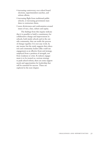- **increasing controversy over school board elections, superintendent searches, and reform efforts;**
- **increasing flight from traditional public schools, or increasing government mandates to restructure them;**
- **more divisiveness and confrontation around issues of race, class, culture and equity.**

**The findings from this inquiry indicate that it is possible to build a constituency for collaborative change and improvement in schools, both inside schools and in the outside community, that can tackle the process of change together. It is not easy work, by any means; but the study suggests that educators and community leaders alike could use engagement as an effective front-end strategy, employed from a position of strength, not from weakness or crisis. If, indeed, engagement is to be treated as a serious strategy to push school reform, there are some support needs and opportunities for leadership that will be essential for success. These are explored in the next chapter.**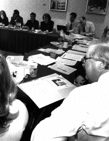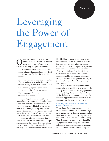# **Leveraging the Power of Engagement**

**O** vER THE EIGHTEEN MONTHS<br>of this study, the research team<br>existence of a fully engaged community **of this study, the research team identified four "beacons" that signal the existence of a fully engaged community.** 

- **The expectation between school and community of mutual accountability for school performance and for the education of all children.**
- **The readily perceived existence of a culture of trust, inclusiveness, and collaborative problem solving in education and schooling.**
- **A continuously expanding capacity for improvement of teaching and learning.**
- **The perception of public schools as "democracy at work."**

**Taken together, these constitute a very tall order for most schools and communities. Few initiatives or communities in the nation have succeeded in fully engaging one another. But those practicing engagement speak with passion about reaching that point where, in fact, a culture of engagement has been created that is sustainable over time.** 

**For many of these initiatives, time is what it will take for the processes of engagement to create the culture they seek. This is not work that can happen overnight. The majority of the public engagement initiatives** **identified in this report are no more than two years old. Several are between two and five years old, and only a few are mature efforts with more than five years of experience at their work. An analysis of these many efforts would indicate that there is, in fact, a discernible, three-stage developmental process for public engagement initiatives, through which most engagement efforts pass (see "The Cycle of Public Engagement," pages** 54–55**).** 

**Whatever stage these particular initiatives are in, what would have to happen if the country were, indeed, to treat engagement as a serious strategy for school reform? Based on the findings from chapter** 3**, there are five common support needs and resources to be developed for the future of this work.** 

# *1. Breaking New Ground in Leadership and Leadership Development*

**Those doing the work of engagement are virtually unanimous in this conclusion: Engagement initiatives, whether they are initiated in the school or the community, require a new breed of leader and a new kind of leadership. Many leaders spoke of their work in public engagement as demanding new levels of skill in listening, coaching, mentoring, encouraging, and supporting inclusion; forging con-**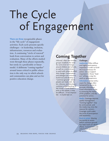# The Cycle of Engagement

**There are three recognizable phases in the "life cycle" of engagement activities. Each cycle presents specific challenges – in leadership, inclusion, infrastructure, resources and evaluation. A continuing "circle of renewal" leads from conversation to action and evaluation. Many of the efforts studied went through these phases repeatedly, but rarely in a predictable or linear model. A deliberate "coming together" around issues critical to public education is the only way in which schools and communities can plan and act for positive education change.**

# **Coming Together**

**1011 Internal Control Control Control Control Control Control Control Control Control Control Control Control Control Control Control Control Control Control Control Control Control Control Control Control Control Control** Informal, often like-minded groups establish the need for some kind of change around children and schools, as well as a commitment to work with others to effect that change. Conversation and dialogue are critical to build trust and develop a "common ground" where people can meet, talk, listen, discuss, and develop a common understanding of key issues. If trust doesn't exist in this phase, it may be difficult – if not impossible – to build later on.

## **Challenges**

**Leadership:** Often diffuse and highly participatory; important in order to build the trust necessary for action. Group support important for those "leaders" willing to step forward as spokespersons.

**3** 

**Information:** Initial enthusiasm for change often hampered by access to accurate information. Good information is key to assessing the reality of the problem, and the potential for action.

**Media:** Coverage requires careful management. "Coming together" may be controversial, and the media may miss the reasons for concern. Coverage could widen the circle of participation and awareness.

**Rush to action:** Moving too quickly to action before common ground has been built can derail efforts. Commitment and information are essential for action.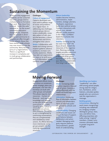# **Sustaining the Momentum**

**Sustainity**<br>
To ensure that engage<br>
initiatives can be sus<br>
over time, groups ter<br>
institutionalize or for<br>
their work. They move<br>
informal, "under-the-<br>
networks to "on the :<br>
community/educatio<br>
change efforts. Initiat<br> To ensure that engagement initiatives can be sustained over time, groups tend to institutionalize or formalize their work. They move from informal, "under-the-radar" networks to "on the screen" community/education change efforts. Initiatives that are outside-in (from parents and community to schools) are often brought inside schools; those that have started inside schools may now move out into the community. Many become 501c3 or 4 organizations. There is a significant increase in complexity and in multi-group collaboration and partnerships.

### **Challenges**

#### **Culture of engagement:**

Capacity developed over time used to address range of issues and problems on a regular basis. In addressing new challenges, mature groups demonstrate a predictable, renewable pattern of talk, plan, act that becomes a culture. Achievement *and* failure strengthen that culture.

**Media:** Collaboration with media and strong communication patterns advance positions, increase community awareness. Media may seek out organization for news or to verify accuracy of information, which confirms ongoing work.

### **Mature leadership:**

Leaders become mentors, administrators, implementers, strategic planners, developers; experience builds keen political senses. Frequent interactions with school, civic, elected officials; visible presence in the media. Confident leadership nurtures new volunteers.

**Stability:** Growing too big too soon may "dull" the focus of work, stretch the resources of the organization. Planning/selecting targets provides maximum impact and sustainability. If the work of the group becomes part of the status quo, then it is questionable how long it can survive.

# **Moving Forward**

**Examplement efforts move that the control of the served of the server of the served at the served and new relationship and people.<br>
Example and new relationship and people.<br>
Information for edia will be hase requires more** Engagement efforts move into action as consensusdriven strategic plans are developed, and new relationships are built with other groups and people. This phase requires more resources – human and financial – and new skills, knowledge and capacity on the part of leaders and participants (i.e. public speaking skills, school or governmental policies, data analysis). The ability to act is strengthened by continuing conversations that are complemented and validated by initial actions. As efforts become more intentional, some groups grapple with formalizing organizational structure.

#### **Challenges**

**Media:** Increasing media attention requires a focused plan of action. Communicating effectively with the media will build long term relationships.

**Information:** Increasing flow of information between schools and stakeholders. Value of informed public recognized by schools and citizens.

**Unpredictability:** Changing conditions and issues can impact the base of support; good balance between deliberation and action needed. Managing ambiguity requires patience, resourcefulness, greater levels of understanding.

# **Identifying new leaders:** "Leadership" can often

shift among several people; strong need for integrators, facilitators, active listeners, articulate spokespeople who can communicate the organization's message.

# **Building greater inclusiveness:** Moving forward means recognizing/ including new stakeholders, bridging complex ideological, group, class, race, and ethnic lines, diffusing proprietary attitudes among "original" members. Greater inclusiveness ultimately leads to greater long-term

strength.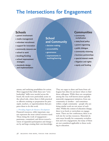# **The Intersections for Engagement**

# **Schools**

- **parent involvement**
- **media management**
- **volunteer recruitment**
- **support for innovation**
- **community resource use**
- **school to work**
- **bonding/funding**
- **school improvement strategies**
- **standards design and implementation**

# **School and Community**

- **decision making**
- **accountability**
- **governance**
- **improvements in teaching/learning**

# **Communities**

- **community revitalization**
- **state/local policy**
- **parent organizing**
- **public dialogue**
- **community visioning**
- **business partnerships**
- **special-interest needs**
- **litigation and rights**
- **equity and funding**

**sensus; and surfacing possibilities for action. Most suggested that while these new "civic leadership" skills were needed across the board, the needs were particularly acute on the school side, where there is little practical or effective training or preparation for principals, teachers, or superintendents that prepares them to do this work.** 

# *2. Providing Support for Resource Development*

**Financial resources, while important, may not represent the most critical resource need. Those doing the work of engagement – passionate, committed, and driven toward a vision of expanded participation and change – are by and large creating their own knowledge.** **They are eager to share and learn from colleagues but often do not know where to find those colleagues. While there are exceptions among the very well known (most typically statewide) engagement initiatives, from one community to another – and sometimes within a single community – people who are doing similar work are not aware of each other. Within the context of education change, there is no book or curriculum on engagement. There are few conferences; there is no web site for on-line resources. Materials do exist more broadly for community revitalization and civic engagement, but many of them are not considered applicable to those working in education.**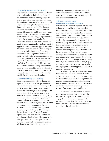## *3. Supporting Infrastructure Development*

**Engagement's practitioners face real challenges of institutionalizing their efforts. Some of these initiatives are self-standing organizations or projects. More often they represent the mindset of someone who has another job – a principal trying to change the conversation about school in the neighborhood, a parent-organization leader who wants to make a difference for children, a civic leader asked to chair or convene a conversation about schools and schooling, a superintendent looking for support for a bond referendum or a standards initiative, a director of policy or legislation who can't see how to build needed support without a different approach to constituency. There are few directors of engagement on organization charts, few strategic plans to achieve engagement objectives, few multiyear budgets for engagement initiatives. Thus, engagement efforts can be transitory, organizationally transparent, vulnerable to insufficient funding, or funded by informal reallocations of dollars. Many practitioners would say that lack of formality is what gives initiatives their energy, flexibility, and impact – but at the same time concede the need to provide for long-term sustainability.**

### *4. Increasing Visibility and Credibility*

**Engagement to support school change has captured the attention of a large number of people and projects across the country in the past few years. But it remains an approach that means many things to many people. And most of its initiatives are too new to have achieved long-term results – including rising test scores. Initiated by parents, community groups, collaborative superintendents, or visionary school boards, engagement has come upon the country from outside the mainstream of foundation- and tax-supported school change initiatives, and from outside the purview of most of the professional experts who have both guided and focused attention on school reform. Like some of the other process-oriented strategies for change to which it is related – community visioning, collaborative problem solving, network**

**building, community mediation – its early outcomes are "soft" (like "trust") and thus easier to feel as a participant than to describe and document to outsiders.** 

# *5. Developing Measures and Documenting Demonstrable Outcomes*

**Ultimately, the work of engagement is aimed at improving teaching and learning. But those outcomes are not often achieved quickly, and certainly they are not the first indicators of success in engagement work. Conversations with those most involved in engagement work at the community level suggest that the more likely measures of early success are things like increased attendance at parent meetings, greater parent volunteerism in schools, stronger parent support for teacher in-service days, higher levels of energy among a school district's administrative team, and more positive conversation about education at Rotary Club meetings. More generally, these higher perceived levels of trust, hope, and interest may lead to greater success in developing and sustaining plans for reform or passing a bond issue.** 

**To date, very little work has been done to validate such measures or link them to subsequent outcomes in student achievement. Measures of the outcomes of engagement are needed. Such measures will help individual initiatives evaluate and credential themselves so that they can more effectively build a record of success and accomplishment.**

**It is essential to meet these common resource and support needs if, in fact, the beacons that signal the existence of a fully engaged community are to be seen with greater frequency. For this to happen, many more Americans will have to step forward and answer the call to action.**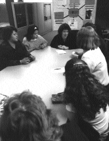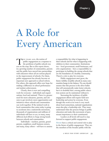# **A Role for Every American**

EN YEARS AGO, the notion of<br>public engagement as a respon<br>the problems of public schools<br>not on the man. But as this report show **public engagement as a response to the problems of public schools was not on the map. But as this report shows, in a growing number of communities, parents and the public have moved into partnerships with educators where all are serious players in the improvement of schools. For them, public engagement has already become an important new approach to school reform. For others, this approach offers new hope for making a difference in school performance and student achievement.** 

**Clearly, there is new and compelling work for everyone – individuals and organizations, local and national. There is a greater need for more educators, parents, and citizens to get involved, more opportunities and initiatives where schools and communities can work together. If the isolated work in local communities that exists today is going to accelerate into a nationwide movement, thousands of organizations and millions of individuals will have to act, in many, many different** *local* **efforts to forge strong bonds between schools and communities.**

**Individuals – teachers, parents, grandparents, neighbors, small business owners, and many, many others – will have to assume**

**a responsibility for what is happening in their schools and for what is happening with children in their communities. Institutions too – local government, small businesses, and civic organizations – have a responsibility to participate in building the strong schools that are the foundation of a healthy community. There's a role to play for everyone.**

**Public engagement** *must* **grow; the future viability of public schools in many communities hangs in the balance. No one should assume that this process is the silver bullet that will automatically make better schools; but it is doubtful that a strong public education system can be maintained without it.**

**Increasing the incidence of public engagement efforts will require bold new leadership and action by everyone. Even though this work at its roots is very much about local connections, national organizations must also play a leadership role. They must understand what the process brings to public education and make this movement of paramount importance to their constituents.**

**Leaders at all levels will need to step forward to support public engagement.**

*Parents* **have a critical and central role to play in the future of public engagement. They are the members of the broader public with the**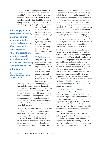**most immediate stake in public schools. In addition to paying closer attention to their own child's experience in school, parents can think and act in ways that benefit all children. Importantly, they should be willing to step up and speak out when invited by school officials to participate in planning or decision**

**Public engagement is… broad-based, inclusive, informed, parental involvement in the central decision-making life of the school at the school level, where the parents are organized to create an environment of accountability in shaping the vision and mission of the school.**

**GARY RODWELL Alliance Organizing Project Philadelphia, PA**

**making. In places where they are not invited, parents can summon the courage to advocate for what they believe to be right, stay with their concerns until they are acted on, and participate, where possible, in implementing solutions.** 

#### *National foundations*

**can play a key role in using their resources to help build partnerships between schools and community that lead to both school improvement and stronger communities. Foundations can also find ways to support**

**leadership-development training or programs, print and electronic resources that might guide new and experienced practitioners, and conferences and other meetings that allow the people involved with this work to learn from one another. They might also provide funds to evaluate the work of engagement more closely and enable the field to develop indicators that all initiatives might use to gauge their success.** 

*The media* **can be conscientious about its role in facilitating a broad public conversation about education and education change. It can play a pivotal role. In places where "public journalism" has taken hold, the media is already using its power and reach to renew the conversation about education change. The media should continue to report the**

**challenges facing schools but might also find ways in which its coverage can be a catalyst in building the school and community partnerships necessary to meet those challenges.**

**For example, the media can cover the meetings and conversations that are central to any public engagement effort not simply as a clash of competing ideas, but as a part of an ongoing public discussion. For many in the media, heated conflict is the crux of a compelling story. As any public engagement practitioner knows, some level of conflict is endemic to this work, but the real story of public engagement – and the story the media must strive to cover – is how conflict is resolved in a civil and productive way.** 

*Schools of education* **can help both future and career teachers and administrators understand the vital role of parents and the public in their schools. These schools can be instrumental in developing courses for educators that build their leadership skills and help them work more comfortably with parents and the broader public. By studying the process of engagement, a new generation of education professionals may tap a reservoir of rich human resources overlooked by their colleagues in the past. Researchers in these schools can also play critical roles in evaluating the impact of public engagement and developing methodologies to describe individual initiatives' successes.**

#### **The** *national education establishment –*

**organizations that serve those who work in and around schools – can galvanize their constituents to engage each other while reaching outward to parents and the public. Some important first steps have been taken with the creation of the Learning First Alliance, thirteen national education associations who have formed a partnership to advance the cause of public education.** 

**It will be essential for educators to be fully engaged, with each other and with parents and the community, in working for improved teaching and learning. To reach that goal, teachers and the unions that represent them must make the communication**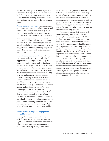**between teachers, parents, and the public a priority on their agenda for the future. It will be difficult to bring improvements to bear on teaching and learning if those who work with students are not part of the engagement process.**

*Business and civic organizations* **are dependent on citizens and consumers – both present and future. These entities can encourage their members and employees to become actively involved with their local schools. This means taking an interest in the academic achievement of all children and of their employees' children. It means being willing to serve on committees, helping implement new programs, and, perhaps even more, allowing employees time off to work on behalf of their schools and their own children.** 

*Local school districts and schools* **have a tremendous opportunity to provide institutional support for public engagement. They can create staff positions and budget line items that ensure that engagement activities are both coordinated and sustained from year to year. Just as importantly, they can involve parents and community members on decision-making, advisory, and strategic planning bodies. They can honestly examine how parent- or community-friendly their school buildings are. They can provide accurate and timely information – both good news and bad – about student and staff achievement. They can encourage and reward teachers for building better communication with parents. All of these activities – as well as many others described in this report – can enable districts and schools to enter into real partnerships with parents and community members. All of this work can reinforce a crucial message: that public schools, indeed, belong to the public.** 

# **Toward a culture for public engagement and public education**

**Through this study, as both advocate and critical friend, the Annenberg Institute has begun to accumulate information that will help others develop local expertise and, at the same time, is seeking to shape a national**

**understanding of engagement. There is more to learn about this strategy for advancing school reform, to be sure – more research and case studies; a larger national conversation about the roles of parents, educators, and the public; networks of sites that can teach others about leadership, sustainability, and evaluation; and opportunities for everyone to develop the capacity for engagement.** 

**Those who shared their stories with the Institute expressed a keen interest in learning further about engagement. Their needs – even more, their desires – are very much about a reinvestment in our public schools. This movement called public engagement represents a crucial turning point for public education. The many isolated ventures found across the landscape of America are important mile markers that indicate a mobilization of civic action for public education.** 

**The work for the past eighteen months has led to the conclusion that there is a defining moment at hand, a rising opportunity to rebuild the partnership between schools, parents, and citizens that can renew a civic** *responsibility* **for public education, which is the cornerstone of a vital and sustained American democracy.**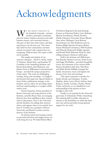# **Acknowledgments**

E ARE DEEPLY GRATEFUL to<br>teachers, principals, communi<br>and civic leaders, business executives and st **the hundreds of people – parents, teachers, principals, community and civic leaders, business executives and small business owners, and concerned citizens – who gave us their time, their stories, and their experiences over the past year. The vision they hold for their communities and their schools was shared with a passion that was energizing. Without them, this report would not be possible.**

**The insight and analysis of our research colleagues – David A. Smith, Ansley T. Erickson, Daniel Seltz, and Jonathan W. Considine at the Annenberg Institute; and Kristin Kurtenbach, John Beilenson, and Johann Neem at Millennium Communications Group – provided the unique perspectives of this report. The work was challenging, exciting, tiring, and rewarding – we laughed and learned with equal zeal. Special thanks to Susan Fisher, publications manager at the Institute and our editor, for providing clarity and keen understanding to a complex collaborative work.** 

**Vartan Gregorian, former president of Brown University and acting director of the Institute, and John Bryan Starr, its managing director, have been unfailing in their commitment to this project. New to the University and the Institute, but adding their interest, advice, and support when it was needed, have been E. Gordon Gee, president of Brown University, and Ramón Cortines, interim director of the Institute.**

**An advisory panel and steering committee provided direction and insights about our work along the way. We thank Robert Blum**

**(Northwest Regional Lab), Jack Jennings (Center on Education Policy), Larry Kirkman (Benton Foundation), Wendy Puriefoy (Public Education Network), Donna Rhodes (Ann Arbor, Michigan), Scott Roberts (Annenberg/**cpb**), Dan Rothstein and Luz Santana (Right Question Project), Robert Sexton (Prichard Committee), Will Friedman and Deborah Wadsworth (Public Agenda), and Ronald Wolk** *(Education Week)* **for their willing assistance whenever called upon.** 

**Staff at the Institute and Millennium – Ann Beaudry, Barbara Cervone, Paula Evans, and Peggy MacMullen – provided thoughtful review and comments of our various drafts. Patricia Strickland, Julie Fain, Matt Ross, and Diallo Brooks skillfully managed the details, documents, travel, and logistics for dozens of site visits and meetings.** 

**This report represents a sacrifice for family, friends, and colleagues. To Julie, Meghan, Adam, Larry, David, Andrew, Anne, Ramona, Noelle, Caroline, Charlie, Wanda, Carlie, and Jacob, we are thankful for your understanding of the passion we have brought to this work.**

**Finally, we are grateful for the vision and generosity of Ambassador Walter Annenberg. His enduring faith in public education in America is the foundation on which the Institute rests and has provided strong spiritual support for our work.**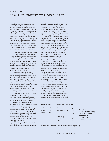# appendix a how this inquiry was conducted

**Throughout this work, the Institute has attempted to employ an engagement process in its own efforts to learn from the people and programs that were studied. Researchers met with and listened to many individuals in order to gain new perspectives and to learn from them as they talked among each other. Information, preliminary findings, and conclusions were deliberately shared with others, from whom researchers encouraged an honest evaluation. Finally, we were very eager that those studied from across the country have a chance to engage each other in a way that allowed them to define the summative judgments that have led to the conclusions of this report.** 

**The Institute's work in public engagement began with a series of conversations throughout the spring of** 1996 **to help shape an understanding of what public engagement meant across the country. These initial meetings culminated in a meeting in Washington, DC in June** 1996**, at which fifty leaders representing education, business, foundations, communications, the media, and parents met to discuss public engagement, and review potential directions for the Institute.** 

**Beginning in the fall of** 1996**, Institute staff began traveling across the country, meeting with administrators, teachers, parents, citizens, researchers, reformers and reform organizations, state legislators, departments of education, foundation officers, and local citizens. The agenda of questions provided an early glimpse into the issues that form the heart of this report. A concept paper prepared from these sessions formed the basis of discussions at the Institute for the direction of this work.** 

**The Institute then compiled a listing of public engagement sites from readings, travels, and recommendations from many people and advisors, including a list developed by Norman Fruchter of New York University for the Prichard Committee for Excellence in Education in Kentucky. Nearly** 400 **site recommendations were eventually gathered; each was sent a letter describing our efforts and requesting additional information. Using a protocol to screen the information submitted, Institute staff conducted interview surveys by phone with program directors or stakeholders in each site. Ultimately,** 174 **different school and community efforts were studied.** 

**The interview reports were shared with all project staff, who exchanged reactions weekly about each site and the accumulating** **knowledge. After two months of interviews, researchers began meeting monthly to review a developing list of critical questions and findings that became the basis for much of the analysis. The research team's work was strengthened by both the steering committee and an advisory panel of practitioners.**

**Because the work we studied was local and came from rich, local contexts, researchers decided to visit sites that represented best experiences. Site visits began in May** 1997 **and consisted of one-to-three-day meetings with a variety of community stakeholders and groups. Researchers attended town meetings, public conversation events, board meetings, house meetings of parent groups and citizens, which were held in schools, homes, local businesses, corporate boardrooms, restaurants, corner diners, and libraries.**

**Site reports became an important part of the monthly cumulative review process. As themes and hypotheses were shaped and argued, the Institute tested these assumptions with various groups, including Institute colleagues, foundation officers, technical assistance providers, and consultants. Most importantly, we shared our findings with those who provided them. In November** 1997 **in Providence, Rhode Island, teams of stakeholders from twenty-six initiatives gathered to discuss their work with each other. Questions and themes shaped over the past year framed the discussion in sessions with various groupings of initiatives and stakeholders. As organizations learned from and challenged each other, the Institute was able to validate much of its cumulative research through very revealing lenses.**

**The following appendices list those individuals, schools, and organizations that have contributed to our understanding of engagement, to whom we are deeply indebted.**

| The Inquiry Sites                |                  | <b>Breakdown of Sites Studied</b>                                                       |                                           |                                                                                                                                                                                                         |  |
|----------------------------------|------------------|-----------------------------------------------------------------------------------------|-------------------------------------------|---------------------------------------------------------------------------------------------------------------------------------------------------------------------------------------------------------|--|
| Identified<br>Studied<br>Visited | 400<br>174<br>50 | School-driven<br>Community-driven<br>Urban<br>Suburban or<br>small/medium town<br>Rural | 34.5%<br>65.5%<br>60.3%<br>21.3%<br>14.4% | 32 initiatives do local work<br>nationwide<br>2 initiatives work regionally<br>supporting local work in<br>multiple states<br>34 initiatives work<br>statewide or do local work<br>on a statewide basis |  |

For descriptions of the sites studied, see Appendix B, pages 64–83.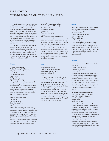# appendix b public engagement inquiry sites

**The** 174 **schools, districts, and organizations listed below are representative of the initiatives that were identified as part of the Institute's inquiry into the practice of public engagement in America. This is not a comprehensive or exhaustive listing of schools or communities doing this work; such a listing would be impossible to compile. However, it represents a valuable cross-section of the kinds of initiatives that educators, parents, and citizens are using on behalf of public education.** 

**The sites listed here form the beginning of a clearinghouse of public engagement sites. As additional sites are studied as part of its ongoing research in public engagement, the Institute will add to this listing. The clearinghouse will be available in print upon request or it may be accessed on the Institute's web site (www.aisr.brown.edu).**

#### **Alabama**

#### **A+ Research Foundation**

**William E. Smith, Jr., Chairman Cathy Gassenheimer, Managing Director P.O. Box** 4433 **Montgomery, AL** 36103 334 279**-**1886 **bill@aplusala.org http://www.aplusala.org**

**A+ organized town meetings that enabled over** 23**,**000 **people to have a voice in school improvement and developed a blueprint for school reform, which eventually was drafted into a legislative plan, the Alabama First Plan. A+ also provides support to state policymakers and leadership training for school principals and superintendents.** 

#### **Butler County School Board**

**Judy Manning** 215 **Simpson Street** Greenville, AL 36037 334 382**-**2665

**A major districtwide goal is to increase parental involvement through a variety of activities and services. Spend a Day with Your Child invites parents to meet with teachers and administrators and then to shadow their child during classes. The Parent University allows parents to meet with teachers and hear about goals and priorities over the upcoming weeks. The district also offers parent education classes that help parents to be better parents.**

#### **Program for Academic and Cultural Enhancement of Rural Schools (PACERS) Dr. Jack Shelton**

**University of Alabama Box** 870372 **Tuscaloosa, AL** 35487 205 348**-**6432 **http://www.pacers.org/pacerspg.htm**

pacers **is an association of twenty-nine small public schools in rural communities throughout Alabama.** pacers **schools seek to improve and change the nature of learning through the active participation of the community. Projects include hands-on, interdisciplinary exercises that build on indigenous skills and resources. Each** pacers **school has a newsletter that demonstrates student work and publicizes and reports on community activities. Twenty of these papers now have a readership of over** 125**,**000 **people.**

#### **Alaska**

#### **Chugach School District Roger Sampson, Superintendent** 165 **East** 56**th Avenue, Suite D Anchorage, AK** 99518

907 522**-**7400

**The Chugach School District, which is** 50 **percent Caucasian and** 50 **percent Alaskan native, comprises five communities covering** 22**,**000 **square miles on Prince William Sound. Frustrated by student performance, the district turned to the Northwest Regional Educational Laboratory for assistance in determining what the values and beliefs of the community were as part of a planning process. By gathering parents and community members together, consensus was achieved around the common top priority of providing children with the academic and social skills to succeed in rural Alaska and beyond.**

#### **Arizona**

#### **Educational and Community Change Project**

**Paul Heckman, Associate Professor and Principal Investigator University of Arizona College of Education Annex** 1415 **North Fremont Tuscon, AZ** 85721 520 622**-**5719

**The Educational and Community Change Project works inside low-income schools in South Tuscon and Tuscon to help teachers take advantage of what parents know and can contribute to the classroom. The Project also works in communities to organize parents and community members to become involved in their schools.**

#### **Arkansas**

#### **Arkansas Advocates for Children and Families Amy Rossi**

931 **Donaghey Building Little Rock, AR** 72201 501 371**-**9678

**Arkansas Advocates for Children and Families is a policy-oriented think tank that aims to get more parents involved in schools. They hired a coordinator and use ideas and materials from the National Coalition of Advocates for Students to engage parents. "Super Saturday" meetings have been developed to convene parents and administrators to talk about issues facing the schools for Title I parents.**

#### **Arkansas Friends for Better Schools**

**Judy Wilmouth White, Coordinator** 1111 **West Capitol, Suite** 1096 **Little Rock, AR** 72201 501 373**-**5882 **rayw@arkansas.net**

**Arkansas Friends for Better Schools is an alliance of fourteen statewide organizations that support public schools. Three years ago, Arkansas Friends helped to develop "Arkansas Public Schools Week" to encourage schools to welcome members of the community to visit schools and to take part in school activities. Arkansas Friends also collaborated with the Arkansas** *Times* **to initiate "Arkansas Public School Heroes," an annual cover feature that profiles administrators, principals, teachers, parents, community members, and volunteers who are making a difference in the lives of school children.**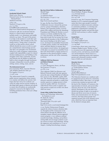#### **California**

**Accelerated Schools Project Hank Levin, Director National Center for the Accelerated Schools Project Stanford University** ceras 109 **Stanford, CA** 94305**-**3084 415 723**-**0840 **ka.hml@forsythe.stanford.edu**

**http://www-leland.stanford.edu/group/**asp

**Formed in** 1986**, the Accelerated Schools Project is a school reform network that includes nearly** 1**,**000 **elementary and middle schools in** 40 **states. The goal of the project is to help at-risk students to reach their optimal performance. After members of the community devise a "living vision" of what they would see as their perfect school, school officials identify key areas to work in as part of a comprehensive school-change process. The three core principles of an Accelerated School are a unity of purpose, empowerment coupled with responsibility as part of a shared decision-making process, and building on the strengths of the entire community. Accelerated Schools treat all children as gifted and build on their strengths through enrichment strategies, independent research, problem solving, science, writing, music, and art.**

#### **The Achievement Council**

**Joyce Germaine Watts, Associate Director** 3460 **Wilshire Boulevard, Suite** 420 **Los Angeles, CA** 90010

213 487**-**3194

**The Achievement Council is a nonprofit, public-interest organization whose mission is to examine and address the systemic challenges that have led to low academic outcomes for urban and low-income students. It also helps build capacity of districts and schools to ensure that all students are academically prepared to succeed at the highest levels, including graduation from a four-year college or university.**

# **Bay Area School Reform Collaborative**

**Merrill Vargo c/o WestEd** 730 **Harrison Street San Francisco, CA** 94107**-**1242 415 241**-**2740 **http://www.wested.org/basrc**

**In** 1995**, the Bay Area School Reform Collaborative (**basrc**), formed the previous year by a group of foundation, education, business, and community leaders, received grants of \$**25 **million each from the Annenberg Foundation and William R. Hewlett.** basrc**'s mission is to firmly establish the Bay Area as a vital, innovative, and effective place to learn and to teach. For its seventy-two Leadership Schools (members of the Collaborative that received funding in the fall of** 1997**),** basrc **developed Accountability Frameworks to enable parents, teachers, the schools themselves, and their districts to measure their own progress toward reform. An integral part of this plan is an annual Accountability Event that each school holds to engage parents in a discussion on the school's progress, student achievement, and the role of the community in reform.**

#### **California Child Care Resource and Referral Network Patty Siegel**

111 **New Montgomery Street,** 7**th Floor San Francisco, CA** 94105 415 882**-**0234

**The California Child Care Resource and Referral Network works with sixty agencies across the state to help all families in California have access to safe, affordable, quality child care. The Network creates user-friendly and attractive materials and guides to enable their member agencies to engage parents in their search for quality child care. An initiative called Parent Voices seeks to organize and train parents to speak out on their own about child-care issues.** 

#### **Conejo Valley Unified School District**

**Science and Technology Achievement for Students (**stars**) Dr. Sheila R. Carlson** 916 **Chalet Circle Thousand Oaks, CA** 91362**-**2408 805 498**-**3608 **http://www.vcss.k**12**.ca.us/conejo/mainpage.htm**

stars **Teacher Enhancement Program expands the reform of science-education delivery throughout all K–**6 **classrooms in the school district through the diffusion of an exemplary, inquiry-oriented, process-approach science program.** stars **enhances students' scientific knowledge, thinking, and problemsolving skills and encourages students to pursue careers in science and technology. Among the supporters and contributors to** stars **is Amgen, a leading biotechnology company.** 

#### **Consensus Organizing Institute**

**David Hoffman, Program Manager** 1732 **Grenada Avenue San Diego, CA** 92102 619 234**-**1268

**Formed in** 1994**, the Consensus Organizing Institute (**coi**) is a national nonprofit organization that draws upon people's creativity and initiative to fashion innovative solutions to community problems.** coi **develops and implements comprehensive strategies for bringing people together and provides them with the tools necessary to achieve tangible reforms.**

#### **Crystal Stairs**

**Alice Walker Duff** 5105 **West Goldleaf Circle Los Angeles, CA** 90056**-**1272 213 299**-**8998

**Crystal Stairs, whose name comes from Langston Hughes's poem "Mother to Son," is a seventeen-year-old organization that does research, service, and advocacy around child care and development. Parent Voices is a community organizing project that organizes parents and community members around issues of child care and education.** 

#### **Education Summit**

**Phyllis Harris Pasadena Unified School District** 351 **South Hudson Avenue Pasadena, CA** 91109 818 791**-**4573 **phylliswb@earthlink.net http://www.pasadena.k**12**.ca.us**

**The Education Summit was a multiyear public engagement process driven by community and business leaders. More than** 2**,**000 **people at eleven sites watched an interview with the head of the Chamber of Commerce, the superintendent of schools, and several other educators about the state of the Pasadena schools. Participants at the sites then were divided into groups of eight to ten people to discuss and devise seven areas of concern. Safety and communications were the top two concerns. Year-long citizen groups were organized around each of the Summit's seven areas, which have been an important basis for the district's strategic plans.**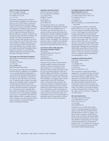#### **James A. Foshay Learning Center Howard Lappin, Principal** 3751 **South Harvard Boulevard** Los Angeles, CA 90018 213 735**-**0241

**The Foshay Learning Center, located in South Central Los Angeles, was at risk of state take-over of its Title I funds in** 1989 **when Howard Lappin became principal. Lappin reached out to parents, community members, and businesses to marshal as many resources as possible for the school. Foshay joined the Los Angeles Educational Alliance for Restructuring Now, academic standards were developed in line with district standards, and students were held accountable for their learning. Average daily attendance has risen, and recently, sixty-six of Foshay's sixty-seven seniors applied to colleges, and thirty out of thirty-one passed the first Advanced Placement Tests. Foshay is also a member of the Los Angeles Annenberg Metropolitan Project. Lappin was honored as a** 1997 **MetLife/ National Association of Secondary School Principals "Principal of the Year."**

#### **The George Lucas Educational Foundation**

**Mark Sargent, Communications Director P.O. Box** 3494 **San Rafael, CA** 94912 415 662**-**1641 **msargent@glef.org http://glef.org/welcome.html**

**The George Lucas Educational Foundation, located in Nicasio, California, was established as a tax-exempt charitable organization in** 1991 **based on the filmmaker's belief that education is the most important investment we can make to secure the future of our democracy. To help the public revitalize the nation's schools, the Foundation gathers, synthesizes, and disseminates information and other resources through various media to promote and share the latest strategies to change the K–**12 **educational system, especially those that integrate technology with teaching and learning. In** 1997**, the Foundation completed** *Learn & Live,* **a documentary film (hosted by Robin Williams) with a companion resource book, to illustrate ways that innovative schools and communities are using technology to enhance teaching and learning.**

#### **Hawthorne Year-Round School**

**Becki Cohn-Vargas, Principal Jen Corn, Reform Coordinator** 1700 28**th Avenue Oakland, CA** 94601 510 879**-**1240 **beckicv@aol.com jcorn**72**@aol.com**

**The Hawthorne School, one of the Bay Area School Reform Collaborative's Learning Schools, held an Accountability Event in November** 1997 **that attracted nearly** 250 **parents to discuss student achievement data around literacy. Teachers facilitated discussions on the data in parents' native languages of Spanish, Cambodian, Vietnamese, Cantonese, Serbo-Croatian, and English. The school also produced a video, in English and in Spanish, showing children reading at grade level to help parents understand what that looks like.**

### **Joint Venture: Silicon Valley Network's 21st-Century Education Initiative**

**Tim Cuneo** 99 **Almaden Boulevard, Suite** 620 **San Jose, CA** 95113 408 938**-**1510 **jvsvoffice@aol.com http://www.jointventure.org**

**The Joint Venture: Silicon Valley Network includes people in business, government, education, and the community who have joined together to act on regional issues affecting economic vitality and quality of life. In** 1995**, the Network agreed to raise more than \$**20 **million and launch the** 21**st-Century Education Initiative to spark a renaissance in public education in Silicon Valley. The Initiative's Challenge** 2000 **program, using a venturecapital model, works with "Renaissance teams" of educators, business people, and community members to implement systemic improvement programs focused on student performance and involving continuous evaluation. The Initiative made commitments of over \$**1 **million over three years to Renaissance teams in the form of financial, human, and technological resources. Continued support is dependent upon the achievement of measurable results toward world-class standards.** 

#### **Los Angeles Educational Alliance for Restructuring Now (LEARN)**

**Michael Roos, President and** ceo 300 **South Grand Avenue, Suite** 1160 **Los Angeles, CA** 90071 213 255**-**3276 **learnla@aol.com http://www.lausd.k**12**.ca.us/lausd/offices/learn /learn.html**

**A working group of thirteen community leaders formed** learn **in** 1991**. More than** 600 **civic, education, and business leaders help** learn **to build supportive, student-focused learning communities with the autonomy to define and realize their student achievement outcomes in new and imaginative ways best suited to their unique needs. The principal and one teacher from each** learn **school take part in an eighteen-month applied management training course with** ucla**'s Graduates Schools of Management and Education. Additionally, partnerships are formed with school communities and educational organizations. To date,** 297 **schools, or** 45 **percent, in the Los Angeles Unified School District are participating in** learn**.**

#### **Long Beach Unified School District**

**Carl Cohen, Superintendent Kristi Kahl** 1515 **Hughes Way Long Beach, CA** 90810 310 997**-**8000 **http://www.lbusd.k**12**.ca.us**

**The Long Beach Unified School District engaged over** 300 **people from the community in a series of education roundtables on standards-based reform in middle schools. These discussions were followed by leadership development training with twenty-two middle school principals to help them better communicate with and involve parents and community members around standards-based reform. The district has recently developed an all-day Saturday Parent Conference, with the support of the local union, to engage parents and teachers.**

#### **Mar Vista Family Center**

**Lucia Diaz, Executive Director** 5070 **South Slauson Avenue Culver City, CA** 90230 310 390**-**9607 **marvistafc@aol.com**

**Founded in** 1977**, the Mar Vista Family Center is a parent-participation preschool adjacent to the Mar Vista Gardens Federal Housing Project in West Los Angeles, serving an at-risk community of primarily lowincome Latino and African American families. Parents learn the importance of their role in their children's educational success through mandatory participation in the preschool program. Over** 2**,**000 **families have taken part in the Center's programs based on the Mar Vista Model of Shared Responsibility.**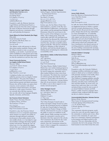### **Mexican American Legal Defense**

**and Education Fund (MALDEF) Antonia Hernandez** 634 **Spring Street Los Angeles, CA** 90014 213 629**-**2512 **maldefone@aol.com**

**Founded in** 1968**, the Mexican American Legal Defense and Educational Fund is a public-interest law firm that seeks to improve the status of Mexican Americans through litigation and advocacy, community education, and leadership development.** 

#### **Parent Alliance for School Standards (San Diego) Ellen Jaffa**

**Social Advocates for Youth** 3615 **Kearny Villa Road, Suite** 101 **San Diego, CA** 92123 619 565**-**4148

**The Alliance works with parents to educate them about student standards. During** 1998**, the Alliance intends to train** 250 **parents, including** 15 **site leaders. A parental network will be established to train parents and to help them access the schools and obtain information on what the standards are and how they work.**

#### **Parent Community Services, Los Angeles Unified School District**

**Shawnna Tallant** 534 **Cesar E. Chavez Avenue Los Angeles, CA** 90012 213 625**-**6010 **pcs@lausd.k**12**.ca.us http://lausd.k**12**.ca.us/~pcs**

**A telephone hotline was created and is staffed by parents in the Los Angeles Unified School District. The goal of the hotline is parent empowerment and increased collaboration between parents and district personnel. Parents who call the hotline can express their concerns, receive assistance with schooland district-related information, and obtain referrals to a wide variety of services. There are currently three full-time operators who can take calls in four languages (English, Spanish, Armenian, and Korean).**

#### **San Francisco School Volunteers**

**Sandra Treacy, Executive Director** 65 **Battery Street,** 3**rd Floor San Francisco, CA** 94111 415 274**-**0250 **svolunte@sfusd.k**12**.ca.us http://www.maximov.com/sfsv**

**Founded in** 1963**, San Francisco School Volunteers (**sfsv**) is a nonprofit organization whose mission is to improve the quality of education through informed community involvement in their public schools. In the** city's middle schools,  $s$ FSV has helped to orga**nize breakfast exchanges that bring together teachers and parents. During the** 1997**–**98 school year,  $\frac{1}{2}$  s<sub>rsv</sub> has enlisted the support **of more than** 2**,**500 **volunteers who typically spend two to three hours per week in a school.**

#### **San Mateo–Foster City School District**

**Audrey Poppers, Assistant Superintendent for Educational Services** 51 **West** 41**st Avenue San Mateo, CA** 94403 650 312-7777**, ext.** 7720 **apoppers@smfc.k**12**.ca.us http://www.smfc.k**12**.ca.us**

**In June** 1997, **the San Mateo–Foster City School District, a member of the Bay Area School Reform Collaborative, convened parents, teachers, and the principal from Parkside Elementary School for seven hours in the first in a series of four dialogues on accountability. This working group, along with central office staff and a few principals from other schools, has discussed the various types of assessment data, how to read and understand the data, and what acceptable student progress looks like. This process at Parkside will lead to dialogues at other schools in the district, and work has already begun on thinking about and planning for a districtwide accountability event.**

#### **Santa Monica–Malibu Unified School District**

**Peggy Harris** 1651 16**th Street Santa Monica, CA** 90405 310 450**-**8338 **http://www.smmusd.org**

**The Santa Monica–Malibu Unified School District has a new teacher-training program in partnership with** ucla**. Text-based seminars are used to engage the community and to allow student teachers to hear voices from the community. The district has created parent advisory groups that help the schools connect to various ethnic and minority constituencies. The district has a strong relationship with city government, which provides \$**2 **million a year in direct support to community outreach programs.**

#### **Urban Strategies Council**

**Martine Makower, Associate** 672 13**th Street, Suite** 200 **Thornton House Oakland, CA** 94612 510 893**-**2404 **council@urbanstrat.com**

**The Urban Strategies Council seeks to inform and inspire change focused on reducing the risk of persistent poverty in Oakland. In** 1989**, the Council helped to launch the Commission for Positive Change in Public Schools, which lasted for six years, to engage the public to restore its confidence in the public schools. Public meetings were held to gauge the community's concerns and to determine what they expected of the schools. The Commission also looked for the conditions, instruction, and structure of the schools. Once the Commission released its report, it then re-engaged the community to examine those findings.**

#### **Colorado**

#### **Aurora Public Schools**

**Joan Ott, Director of Instructional Services** 15751 **East First Avenue Aurora, CO** 80011 303 340**-**0861 **http://www.aps.k**12**.co.us**

**In** 1988**, the Aurora Public Schools first used an engagement process to initiate a communitywide strategic planning process. During the past decade, this process has led to several policy changes that involve key stakeholders in a more meaningful way. A Leadership Council of community representatives provides support and direction for the Board of Education, and each school building now has a shared-decision-making team. Additionally, a fifty-person school and community task force contributed to the district's process of rewriting graduation standards by studying the issue, holding communitywide meetings, and presenting recommendations to the board.**

#### **Colorado Children's Campaign**

**Barbara O'Brien** 225 **East** 16**th Avenue Suite B-**300 **Denver, CO** 80203**-**1607 303 839**-**1580 **HN**3157**@handsnet.org http://www.kidscampaigns.org/cac/sites/ ccc.html**

**Founded in** 1985**, the Colorado Children's Campaign mobilizes individuals and organizations to think and act on behalf of children with particular attention to the health, education, and safety of children most at risk. The Children's Campaign publishes annually** *Kids Count in Colorado!* **which looks at health, education, and safety issues confronting children and their families. In recent years, volunteers have made more than** 20**,**000 **dolls and placed them around the state as part of an annual Children's Summit and Doll Project, a public awareness campaign where volunteers make cardboard dolls that depict the life of a child in Colorado.**

#### **Community/Adult Education, Volunteer Services Barbara Hook, Director**

**West Center for Intergenerational Learning Colorado Springs School District #**11 1115 **N. El Paso Street Colorado Springs, CO** 80903 719 520**-**2162

**The community education program, nearly twenty-five years old, provides support from the community to students and, in turn, offers services to the community. In** 1996**, more than** 6**,**000 **community volunteers participated in the program and helped teachers in the classroom. This new relationship with the community also led to the passage of the first bond measure in more than twenty-four years.**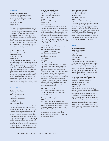#### **Connecticut**

**Study Circles Resource Center**

**Martha McCoy, Executive Director Sally Campbell, Deputy Director Matt Leighninger, Program Director P.O. Box** 203 **Pomfret, CT** 06258 860 928**-**2616 **scrc@neca.com**

**The Study Circles Resource Center (**scrc**) is a project of the Topsfield Foundation, Inc., a nonprofit, nonpartisan foundation dedicated to advancing deliberative democracy and improving the quality of public life in the United States.** scrc **carries out this mission by helping communities to organize study circles – small-group, democratic, highly participatory discussions.** scrc **has been a pioneer in facilitating communitywide conversations around the issues of race, diversity, education, and criminal justice.**

#### **Windham Public Schools**

**Pat Procter, Superintendent** 322 **Prospect Street Willimantic, CT** 06226 860 465**-**2310

**After a team of administrators attended the Harvard Institute for School Improvement in** 1996**, the district determined that it was time to engage the community. The first year of the process is to set goals and expectations for students; year two undertakes an assessment; and year three entails putting together a plan to close the gaps. During** 1996 **and** 1997**, through focus groups with children, senior citizens, business leaders, and parents, the district collected data on the community's expectations and satisfaction with the schools and has moved on to a process of setting goals.** 

#### **District of Columbia**

#### **The Benton Foundation**

**Larry Kirkman** 1634 **"Eye" Street, NW** 12**th Floor Washington, D.C.** 20006 202 638**-**5770 **larryk@benton.org http://www.benton.org**

**The Benton Foundation works to realize the social benefits made possible by the publicinterest use of communications. Bridging the worlds of philanthropy, public policy, and community action, Benton seeks to shape the emerging communications environment and to demonstrate the value of communications for solving social problems. Through demonstration projects, media production and publishing, research, conferences, and grant making, Benton probes the relationships between the public, corporate, and nonprofit sectors to address the critical questions for democracy in the information age.**

#### **Center for Law and Education**

**Paul Weckstein, Co-Director Kathleen Boundy, Co-Director Anne T. Henderson, Consultant** 1875 **Connecticut Ave., N.W. Suite** 510 **Washington, D.C.** 20009 202 986**-**3000 **cledc@erols.com**

**The Center for Law and Education (**cle**) is a national, nonprofit organization that seeks to advance the rights of all students, especially low-income students and their families.** cle **helps community and school-based initiatives to increase parent and student involvement in education.** cle **also conducts and publishes research on parent involvement, including its** 1997 **report,** *Urgent Message: Families Crucial to School Reform.*

#### **Institute for Educational Leadership, Inc.**

**Mike Usdan, President Jacqueline Danberger, Director, Governance Programs** 1001 **Connecticut Avenue, NW Suite** 310 **Washington, D.C.** 20036 202 822**-**8405 **iel@iel.org http://www.iel.org**

**The Institute for Educational Leadership's (**iel**) mission is to improve individual lives and society by strengthening educational opportunities for children and youth.** IEL **accomplishes its mission by connecting leaders from every sector of our increasingly multiethnic and multiracial society and by reconnecting the public with our educational institutions.** iel **collaborates with Public Agenda on "Engaging Americans in Education Reform," to involve Americans at the grassroots level in civic dialogue among themselves and with educators.** 

#### **National Council of La Raza**

**Maria Fisher, Education Policy Analyst Arianna Quiñones, Education Specialist** 11 19**th Street, NW Suite** 1000 **Washington, D.C.** 20036 202 785**-**1670 **mfisher@nclr.org, aquinones@nclr.org**

The National Council of La Raza (NCLR) is a **private, nonpartisan, tax-exempt organization established in** 1968 **to reduce poverty and discrimination and improve life opportunities** for Hispanic Americans. Nationally, NCLR **lobbies federal lawmakers, while locally building grassroots community involvement for education reform.**

#### **Public Education Network**

**Wendy Puriefoy, President** 601 **Thirteenth Street, NW Suite** 900 **North Washington, D.C.** 20001 202 628**-**7460 **http://www.publiceducation.org**

**The Public Education Network is a national association of local education funds committed to achieving high-quality public education for all American children, especially the disadvantaged. Its mission is to link and unite these funds and mobilize the energy and resources of their communities to build effective and successful public schools. The Network is currently working in twenty-eight states and the District of Columbia.**

#### **Florida**

**Adult Education Center, Flagler County Schools Stephen Edwards Flagler County Schools** 200 **Lehigh Road Flagler Beach, FL** 32136 904 517**-**2040

**The Adult Education Center offers** 500 **classes per semester for six semesters a year. The Center runs a fully operational childcare center and an adult activity center for persons with dementia or Alzheimer's. A full range of community education classes is offered, along with drop-out retrieval and vocational education programs.**

#### **Communities in Schools of Jacksonville**

**Stephen Zaricki, Executive Director** 301 **West Bay Street, Suite** 2360 **Box** 23**, Southern Bell Tower Jacksonville, FL** 32202 904 354**-**5918

**Communities in Schools (**cis**), part of a national program, is an in-school model that works with at-risk students in Jacksonville to keep them in school, raise their level of achievement, and prepare them for their future.** cis **mobilizes community resources, including funding, mentoring, and social services from businesses, agencies, and nonprofit organizations, around these students. Case managers help to identify the problems that a family might have and connect them to the appropriate services.**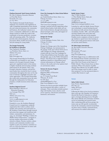#### **Georgia**

#### **Chatham-Savannah Youth Futures Authority**

**Dr. Otis S. Johnson, Executive Director** 316 **East Bay Street Savannah, GA** 31401 912 651**-**6810

**The Chatham-Savannah Youth Futures Authority was created by state legislation in** 1988**. Comprising representatives from schools, city and county government, the community, and business, the Authority's mission is to create a community collaborative to affect the change needed to enable the youth of the community to become productive, economically self-sustaining adults. The Authority provides after-school programs, drug-use prevention efforts, health and social services, and job training for young adults.**

#### **The Georgia Partnership for Excellence in Education**

**Tom Upchurch, President** 233 **Peachtree Street, Suite** 200 **Atlanta, GA** 30303 404 223**-**2280 **http://www.gpee.org**

**The Georgia Partnership for Excellence in Education was founded in** 1990 **with the mission to be Georgia's foremost change agent and a significant leader in the journey to higher standards and increasing academic achievement for all students. Since** 1993**, Georgia's education, business, and government leaders have traveled by bus to various communities throughout the state on five-day tours of schools to highlight innovative education approaches. The Georgia Partnership also works with communities across the state, through the Ambassadors for Education program, to build awareness about education issues.**

#### **Southern Regional Council**

**Marcia Klenbort, Director of Education Programs** 133 **Carnegie Way, NW Suite** 900 **Atlanta, GA** 30303**-**1024 404 522**-**8764 73251**.**2024**@compuserve.com http://www.src.w**1**.com**

**Founded in** 1919**, the Southern Regional Council (**src**) is a nonpartisan, nonprofit organization that works to achieve racial equality and economic and social justice in the Southern United States through research and action that engages and transforms individuals, communities, and institutions. In** 1994**,** src **developed "Building a Culture for Middle School Achievement," a program to increase student achievement in middle schools in Atlanta. Parents, teachers, administrators, and community members came together as part of an advisory committee to serve as a locus for discussion on issues such as systemwide objectives.**

#### **Illinois**

#### **Cross City Campaign for Urban School Reform Anne Hallett** 407 **South Dearborn Street, Suite** 1725

**Chicago, IL** 60605 312 322**-**4880

**ahallett@compuserve.com**

**The Cross City Campaign is an active strategic, national network supporting urban school reform leaders, both inside and outside of school districts, through information, shared strategies, joint work, and support of local reform agendas.**

#### **Designs for Change**

**Donald Moore** 6 **North Michigan Avenue, Suite** 1600 Chicago, IL 60602 312 857**-**9292

**Designs for Change, part of the Annenberg Chicago Challenge, was instrumental in the passage of the city's school reform law in** 1988**. Designs for Change subsequently worked with the Cross City Campaign for Urban School Reform from November** 1994 **through July** 1995 **on the Public Information Project. The Project led or supported fifteen significant initiatives to disseminate good, accurate information on Chicago school reform to the media and to key opinion leaders and decision makers.**

#### **Partners for Success Program**

**Carole Parkins Regional Office of Education DuPage County** 421 **N. County Farm Road Wheaton, IL** 60187 630 682**-**6955 **cparkins@dupage.k**12**.il.us http://www.dupage.k**12**.il.us**

**Partners for Success provides multiple learning environments that utilize a variety of strategies. Their curriculum includes partnerships with families, home schools, social service agencies, educational communities, businesses, and mentors.**

#### **Indiana**

#### **Buddy System Project**

**Alan T. Hill, President** 17 **West Market Street, Suite** 960 **Indianapolis, IN** 46204 317 464**-**2074 **ahill@indyvax.iupui.edu http://www.vonnegut.buddy.k**12**.in.us**

**Launched in** 1988**, the Buddy System Project uses technology to extend learning beyond the classroom walls and into homes throughout Indiana. Fourth-, fifth-, and sixth-graders and their families from more than sixty school districts take part in the program. Families receive computers at home to encourage students to spend more time learning at home and to help parents interact with teachers and the school district.** 

#### **Phi Delta Kappa International**

**Dr. Ron Joekel, Executive Director P.O. Box** 789 **Bloomington, IN** 47402 812 339**-**1156 **http://www.pdkintl.org**

Phi Delta Kappa (PDK), in collaboration with **the National Parent Teacher Association, has sponsored discussions across the country as part of the Civic Forum on the Future of Public Schools. These forums focus on three questions: What is the purpose of public schools? How effective are our public schools? and What changes must be made to attain** these purposes? **PDK** has announced plans to **conduct fifty forums in** 1998**.**

#### **Kansas**

#### **Salina Public Schools**

**Gary Norris, Superintendent P.O. Box** 797 **Salina, KS** 67402 913 826**-**4727

**Following the defeat of two local tax initiatives three years ago, the Chamber of Commerce directed the board of education to embark upon a strategic-planning process. Roughly fifty school officials and community members served on leadership and research teams. After conducting polls and focus groups, the teams came up with specific recommendations for the community centered around their top three issues of family, communications, and resources for student achievement.**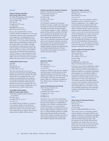#### **Kentucky**

#### **Citizens' Advisory Committee, Scott County Public Schools**

**Dr. Dallas Blankenship, Superintendent Scott County Public Schools** 2618 **Frankfort Pike P.O. Box** 561 **Georgetown, KY** 40324 502 863**-**3663 **dblank@scott.k**12**.ky.us http://www.scott.k**12**.ky.us**

**In** 1993**, the superintendent created a Citizens' Advisory Committee (**cac**) to create community awareness and to generate grassroots support for a pending bond issue to build a new high school. While that bond issue failed,** cac **was successful in gathering public input and sustaining an awareness for the need to build a new facility. Through state legislation, regular growth and levies, and the support of a local Toyota plant, the district was able to construct a \$**24**-million, state-of-the-art high school that opened in the fall of** 1996**.** cac **has continued to share information with and gather input from the public, and over** 80 **percent of its recommendations have been acted on by the district.**

#### **Hopkinsville-Christian County**

**Tom Bell P.O. Box** 23 **Hopkinsville, KY** 502 886**-**2984**, ext.** 9117

**The town was selected as a site for an Institute for Educational Leadership/Public Agenda–sponsored town meeting. The information that was compiled from the town meeting was subsequently used in the district's improvement plan. Since this initial conversation, the Board of Education has funded two more town meetings. The town has also tried to develop a mechanism to use this framework to address other issues.** 

#### **The Middle School Coalition, Jefferson County Public Schools**

**Susan Shortt, Middle School Coalition Coordinator P.O. Box** 34020 **Louisville, KY** 40232**-**4020 502 485**-**3011

**The Middle School Coalition is a group of civic, business, health, and social service organizations, educators, and parents/caregivers that works to remove barriers and to create opportunities to support the academic achievement of middle school students.**

#### **Prichard Committee for Academic Excellence**

**Robert F. Sexton, Executive Director Bev Raimondo, Director of Community Support P.O. Box** 1658 **Lexington, KY** 40592 603 233**-**9849

**The Prichard Committee for Academic Excellence provides a public voice advocating for improved education for all Kentuckians. Through town forums, Prichard brought** 20**,**000 **people together in** 1984 **to talk about public schools and their problems. Prichard was instrumental in the passage of the** 1990 **Kentucky Education Reform Act. It continues to support the implementation of the reform act in individual communities through parent and community education and awareness programs like Community Committees for Education and Parents and Teachers Talking Together. Prichard recently launched the Commonwealth Institute for Parent Leadership to help engage more parents in schools and school reform.**

#### **Louisiana**

#### **Agenda for Children**

**Jenny Evans P.O. Box** 51837 **New Orleans, LA** 70151 504 586**-**8509

**Agenda for Children is an advocacy organization that focuses on child-abuse prevention and child health and resources for young children up to eight years old. They work with local schools to increase awareness about quality child care, coordinate workshops on how children learn, and hold seminars on parent care.** 

#### **Center for Development and Learning**

**Alice Thomas, Founder and Executive Director** 208 **South Tyler Street, Suite A Covington, LA** 70433 504 893**-**7777 **learn@cdl.org**

**Founded in** 1992**, the Center for Develop**ment and Learning (CDL) is a nonprofit orga**nization whose mission is to help children break the cycle of failure to facilitate school** and lifetime success. CDL trains teachers, **parents, and students in techniques that can be used to address students' variations in learn**ing. **cDL** helps individual students to identify **their unique learning profile and provides families with training, consulting, and referral services that enable parents to understand their children's specific educational needs.**

#### **Council for A Better Louisiana**

**Harold Suire, Chairman and** ceo **P.O. Box** 4308 **Baton Rouge, LA** 70821 504 344**-**2250

**Founded in** 1962**, the Council for A Better** Louisiana (CABL) is a statewide citizens**advocacy organization.** cabl **engages voters to help them become informed and make better decisions. Its People's Agenda project utilizes scientific research, surveys, and focus groups to better understand the concerns of voters.** cabl**'s work in education has centered on the development, since** 1990**, of nine permanently endowed local education funds across the state.** cabl **has received a grant from the BellSouth Foundation to initiate school-board leadership training programs across the state.** cabl **also serves as a resource to the state department of education in helping them communicate with citizens.**

#### **Louisiana Alliance for Education Reform**

**Ruth G. Hinson, Director Tulane University** 6901 **Willow Street New Orleans, LA** 70118 504 865**-**5584 800 945**-**2198 **laer@mailhost.tcs.tulane.edu http://www.tulane.edu/~laer/index**

**Formed in** 1992 **with the collaborative efforts of the Shell Oil Company Foundation and Tulane University, the Louisiana Alliance for Education Reform is a nonprofit corporation whose purpose is to develop the ability of local citizens (educators and noneducators together) to lead the complex process of education reform in their own communities. The Alliance provides leadership training, resources, and coaching in schools and in the community. Teachers, a central part of the school leadership team, are trained to facilitate workshops with parents and community members around their collective vision for their school.**

#### **Maine**

#### **Maine Center for Educational Services Jenifer VanDeusen**

**P.O. Box** 620 **Auburn, ME** 04212 207 783**-**0833 **Jenifer\_VanDeusen@melink.avcnet.org**

**The Center's focus is on bringing together schools, families, community members, and students themselves to collaborate on helping children to develop intellectually, physically, and emotionally. Three years ago, with the assistance of the Charles Stewart Mott Foundation, the Center chose four sites to address the issue of how to increase parental involvement. Currently, all site teams are focusing their work on the development of children's life skills.**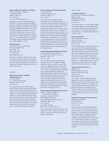#### **Maine Coalition for Excellence in Education**

**Denison Gallaudet, Chairman** 45 **Memorial Circle Augusta, ME** 04330 207 375**-**4334 102136**.**3124**@compuserve.com**

**Founded in** 1990**, the Maine Coalition for Excellence in Education gathered together educators, community members, and business people to develop a statewide plan for broad education standards for students. The Coalition held hearings, conducted surveys, and developed a collaborative to create a standards plan called Learning Results. All told, the Coalition's engagement process involved almost** 10**,**000 **people and led to the passage of the plan's content standards during the** 1997 **Maine legislative session.**

#### **Pathway Partners**

**Gary Perlson, Career Coordinator Mt. Abram High School R.R.** 1 **Box** 760 **Salem, ME** 04983 207 678**-**2455 **gperlson@somtel.com**

**The mission of Pathway Partners is to focus the resources of their partners in education, government, business, and the community to provide a seamless transition from school to a successful Career/Life Pathway for every student in the district.**

#### **Maryland**

#### **Baltimoreans United in Leadership Development (BUILD) Leslie McMillan**

2521 **North Charles Street Baltimore, MD** 21218 410 467**-**9770

build**, twenty years old and the largest mainly African American community organization in the country, mobilizes community members to ensure a quality education for all children.** build **helped found the Child First Authority, a public authority with the ability to issue bonds and raise capital. With support from the mayor, ten after-school programs were created in Baltimore schools on a pilot basis. The after-school programs are partner**ships between schools and **bUILD**. Parents **serve as volunteer staff at these programs.** 

# **Citizens Planning and Housing Association**

**Laura Weeldreyer** 218 **West Saratoga Street Baltimore, MD** 21201 410 539**-**1369

**The Citizens Planning and Housing Association (**cpha**), founded in** 1941**, is a community-based organization that uses citizen action to achieve the best possible quality of life for all residents of Baltimore.** СРНА **has partnered with parent/community groups and the public school system to enable the** formation of city-based charter schools. CPHA **is also working with three schools in Southeast Baltimore to increase parental involvement in school life and governance.** СРНА's third **area of engagement is its role as convener of the Baltimore Education Policy Network, a group of education leaders inside and outside of the schools that has worked to settle three pending lawsuits and ensure public input in the reform process.**

#### **Maryland Business Roundtable for Education**

**June Streckfus, Executive Director** 111 **South Calvert Street, Suite** 2250 **Baltimore, MD** 21202 410 727**-**0448

**The Maryland Business Roundtable for** Education (MBRT) is a coalition of eighty **companies that have made a ten-year commitment to support education reform and improve student achievement in Maryland.** mbrt **used a** 1993 **gap analysis that identified nine components missing in Maryland's school reform effort as the framework for an Education Summit in January** 1996 **with** 250 **of the state's key education stakeholders. That conversation sparked local conversations in communities across the state. In addition,** mbrt**'s Speaker's Bureau identifies and trains well-known people, chiefly business leaders, to make presentations on education reform throughout the state.**

#### **National Network of Partnership-2000 Schools**

**Center on School, Family, and Community Partnerships Dr. Joyce L. Epstein, Director Johns Hopkins University** 3003 **North Charles Street, Suite** 200 **Baltimore, MD** 21218 410 516**-**8818 **p**2000**@csos.jhu.edu http://www.csos.jhu.edu/p**2000

**The network guides school, district, and state leaders and teams of educators, parents, and others to improve school, family, and community partnerships.**

#### **Massachusetts**

#### **The Algebra Project, Inc.**

**Robert Moses, Founder and President Bethany Allen** 99 **Bishop Allen Drive Cambridge, MA** 02139 617 491**-**0200

**The Algebra Project is a nationwide network of projects designed to equip students with a new mathematics literacy required for full participation in a changing technological society. There are currently eighteen projects in twelve states.**

#### **Artists for Humanity**

**Susan Rodgerson, Founder** 288**-**300 **A Street South Boston, MA** 02210 617 737**-**2455

**Artists for Humanity was founded eight years ago as an after-school program in Boston. Students participate in an apprenticeship program where they are paid to create artwork that is then marketed to the business community. There are forty students on the staff, and the sale of the students' art generates \$**100**,**000 **in revenue each year. Students must maintain a** 2**.**5 **grade-point average to stay in the program. Ninety-eight percent of the students in the program go on to college.**

#### **Cape Cod Education Center, Inc.**

**Sally Grimes** 64 **Olde Homestead Drive Marstons Mills, MA** 02648 508 420**-**6219 **grimes@capecod.net**

**The Center works with school districts to help teachers address reading and social problems, such as dyslexia and attention deficit disorder, problems that are not addressed in many teacher preparation programs. The goal of the Center is to develop a major resource center where parents and administrators can access information and research and where parents and teachers can receive training.**

#### **Community Training and Assistance Center**

**Bill Slotnick, President** 30 **Winter Street Boston, MA** 02138 617 423**-**1444

**The Community Training and Assistance Center (**ctac**) is a seventeen-year-old nonprofit organization that provides technical assistance to more than ninety communitybased organizations and public institutions that work in education, health, housing, neighborhood revitalization, and other issues.** cTAC helps schools complete a site assess**ment, gather a diverse group of stakeholders to envision what an ideal school would look like, and ultimately put an actual reform plan together.**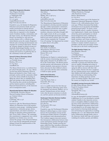#### **Institute for Responsive Education**

**Tony Wagner, President Northeastern University** 50 **Nightingale Hall Boston, MA** 02115 617 373**-**4479 **twagner@nunet.neu.edu http://www.dac.neu.edu/ire**

**Founded in** 1973**, the Institute for Responsive Education (**ire**) promotes family and community involvement in schools and new approaches to elementary and secondary education that are responsive to the changing needs of students, families, communities, and the larger society.** ire**'s Responsive Schools Project was launched in** 1994 **and now involves clusters of K–**12 **schools in eight school districts across the country. Responsive Schools seek to develop and demonstrate new strategies for creating locally based, "bottom up" systemic changes in schools serving economically disadvantaged families.** ire **provides site grants, part-time facilitators, and training and resources on gathering data on the community's needs and concerns.**

#### **Samuel W. Mason Elementary School**

**Mary L. Russo, Principal** 150 **Norfolk Avenue Roxbury, MA** 02119 617 635**-**8405 **russo@infl.com**

**The Mason School serves** 273 **students from pre-school through grade** 5**. In** 1991**, Mason was the least-chosen elementary school in Boston and destined to close. Under a new principal, teachers and the community rallied to save the school, initially by focusing on filling the school, then on rebuilding discipline and starting an after-school program. The school has since actively involved parents and key business partners, including John Hancock Financial Services, in the classroom and on management teams.** 

#### **Massachusetts Business Alliance for Education**

**S. Paul Reville, Executive Director Harvard Graduate School of Education** 451 **Gutman Library Appian Way Cambridge, MA** 02138 617 496**-**4823

**Formed in** 1988**, the Massachusetts Business Alliance for Education (**mbae**) did extensive outreach to many groups – including business organizations, community groups, unions, superintendents, and school committees – to develop an education reform proposal entitled "Every Child a Winner." By continuing this commitment to engagement once reform legislation was drafted,** mbae **not only ensured the passage of the Education Reform Act of** 1993 **but has subsequently promoted dialogue around the implementation of the law and its progress.**

#### **Massachusetts Department of Education Alan Safran** 350 **Main Street Malden, MA** 02148**-**5023 781 388**-**3300 **asafran@doe.mass.edu http://www.doe.mass.edu**

**The Massachusetts Department of Education was mandated to develop statewide standards through a widely representative commission. The commission traveled the state to gather feedback about what parents, community members, educators, and others thought children ought to learn. In all,** 50,000 **people were involved through open houses and forums held by local school councils. Since the publication of those standards, the "Common Core of Learning," the department has worked to explain them to the public.**

#### **Mobilization for Equity**

**Fran Smith, Coordinator Massachusetts Advocacy Center** 100 **Boylston Street, Room** 200 **Boston, MA** 02116 617 357**-**8431

**Mobilization for Equity is a national project with the mission of promoting equal access to high-quality education for all children who live in the United States. The Boston project provides parents with information on the new student standards, trains parents to become better advocates for their children's achievement, and works with the entire community to build an equity agenda.**

#### **Multi-cultural Education, Training and Advocacy (META) Roger Rice** 204a **Elm Street, Suite** 22

**Somerville, MA** 02144 617 628**-**2226

meta **is a public-interest law firm that specializes in litigation addressing equity issues** for immigrant and minority children.  $META$ 's **parents' training focuses on how schools work, what the power structures in schools are, and how parents can become involved.**

#### **Newburyport Education Business Coalition**

**Dr. Paul Dulac, Superintendent Newburyport High School P.O. Box** 853 **Newburyport, MA** 01950 978 465**-**4440

**Founded in** 1990**, the Newburyport Education Business Coalition began as a joint venture between the local Industry Group and the Newburyport Public Schools to strengthen the community's total educational process. The Coalition supports innovative projects that demonstrate collaboration between classrooms and business partners through annual Partnership Grants. Another growing program, called Port Day, introduces elementary school students to different occupations in local businesses.**

#### **Patrick O'Hearn Elementary School William Henderson, Principal** 1669 **Dorchester Avenue Boston, Massachusetts** 617 635**-**8725

**The O'Hearn School, part of the Institute for Responsive Education's Responsive Schools Project, is a K–**5 **full inclusion-school. Seven years ago, O'Hearn determined that family involvement was its top priority and identified potential parent leaders. To ensure a more family-friendly school, a number of projects were implemented: a family center during the school day, parent participation on schoolbased management teams, workshops for family members during and after school, a family newsletter, and a home reading program. Today,** 98 **percent of parents meet with teachers to examine students' progress on portfolios, and the same percentage of families takes part in the home reading program.** 

#### **The Right Question Project, Inc.**

**Dan Rothstein, Director Luz Santana** 218 **Holland Street Somerville, MA** 02144 617 628**-**4070

**The Right Question Project (**rqp**) works nationally to promote the belief that all parents are capable of thinking and acting on their own behalf.** rqp **assists parents in developing the skills to interact with their children's teachers. Parents who have completed the** rqp **training interact more regularly with their children and with teachers and principals and develop an understanding of the importance of asking questions and the power of working together. Many sites across the country are using the** rqp **model.**

#### **Springfield Learning Community Collaborative**

**Jo-Anne Wilson Keenan, Director Frank H. Freedman School** 90 **Cherokee Drive Springfield, MA** 01109 413 787**-**7443 **wilsonke@acad.umass.edu**

**In** 1994**, the Springfield Learning Community Collaborative (**slcc**) was developed to include students' families in the classroom environment, to strengthen children's academic learning and to foster school/home collaboration. Twenty Springfield elementary school teachers participated in an off-campus degree program focused on fostering family participation and learning new approaches to teaching language arts.** slcc **has enhanced the school/ home collaboration through family visits to the classroom, family field trips, and summer workshops for teachers, parents, and children.**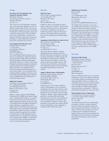#### **Michigan**

## **The Center for Civil Leadership at the Institute for Education Reform**

**Mike Kiefer, Director** 2000 **Huron River Drive, Suite** 102 **Ypsilanti, MI** 48197 313 484**-**3232

**The Center for Civil Leadership, created in** 1997**, uses community dialogue as a lever for effective change within schools. The Center has developed a diagnostic tool to benchmark the behavior of school governance teams and to identify training needs. This tool will be used on an on-going basis to monitor the change in behavior of governance teams and the degree to which collaboration between school and community has increased.**

#### **Grand Rapids Public Education Fund**

**Elizabeth Dilley, President** 111 **Pearl Street Grand Rapids, MI** 49503 **bethd@grpef.org http://www.grpef.org**

**The Grand Rapids Public Education Fund (**pef**) is an independent, nonprofit organization that promotes high achievement for all students through community partnerships** with public schools. PEF works to ensure that, **through its partnership programs, community members participate in strategic planning, policy discussions, and legislative issues, thereby providing strong leadership for systemic school reform.** pef**'s community-asset mapping initiative engages community members to help identify strengths and weaknesses in their neighborhoods and collaborate on community improvement.**

#### **Middle Start Initiative**

**Leah Meyer Austin, Program Director W. K. Kellogg Foundation One Michigan Avenue East Battle Creek, MI** 49017**-**4058 616 969**-**2265 **lma@wkkf.org**

**Begun in** 1994 **as a project of the Kellogg Foundation, the Middle Start Initiative began with a confidential self-study by** 224 **schools, the data from which provided the basis for a public engagement strategy. Grants are made to individual schools throughout Michigan to support planning, comprehensive school improvement in curriculum instruction, rural school improvement, networking, professional development, technical assistance, communications, and policy support for the initiative. In collaboration with the Michigan League of Human Services, a booklet and companion video, "Starting in the Middle," was produced as a guide for teacher professional development and community discussions.**

#### **Minnesota**

#### **Child Care Aware**

**Denise Fogerty, Program Director** 2116 **Campus Drive, SE Rochester, MN** 55904 507 287**-**2220 **HN**6125**@handsnet.org**

**Child Care Aware was founded in** 1988 **to improve child care in America. They provide consumer education on how to choose good care and have established a national** 800 **number for parents to find out about local resources. For family child-care providers they provide training and networking opportunities.** 

#### **Independent School District 197, West St. Paul**

**Robert Monson, Superintendent** 1897 **Delaware Avenue Mendota Heights, MN** 55118 612 681**-**2313 0197**@informns.k**12**.mn.us**

**The school district initiated a strategic planning process by creating a thirty-twomember board and convening two town hall meetings with help from Public Agenda and the Institute for Educational Leadership. These conversations helped to renew community interest in the public schools. Task forces developed after these conversations are building partnerships with local churches, community organizations, and elected officials.**

#### **League of Women Voters of Minneapolis**

**Rosemarie Kelly, Executive Director Young Quindland Building** 81 **South** 9**th Street, Suite** 335 **Minneapolis, MN** 55402 612 333**-**6319 **lwvmpls@mtn.org**

**Founded in** 1920**, the League of Women Voters of Minneapolis is a civic education organization that encourages citizens to play an informed and active role in government. During the** 1997**–**98 **school year, the League designed a "shadow" study, funded through a grant from the Edna McConnell Clark Foundation, for all twenty-two middle-level schools in Minneapolis: community volunteers will shadow a student, a teacher, and a principal in each school; the League will then convene stakeholders in the community to disseminate the results of the study.**

#### **Middle School Connection**

**Bev Prawalsky Linda Jury** 1922 **Garfield Street, NE Minneapolis, MN** 55418 612 789**-**3819 612 824**-**6052 **Beverly.A.Prawalsky@HealthPartners.com**

*The Middle School Connection* **is a two-yearold, middle-school newsletter created by two mothers to inform and empower parents. Funded this year with a grant from the Edna McConnell Clark Foundation, the newsletter is mailed to each of the roughly** 12**,**000 **families in Minneapolis with children in grades** 5 **through** 8**. A hotline for parents to call and comment on the newsletter has been established. During the** 1997**–**98 **school year, the two founders are collaborating with the League of Women Voters of Minneapolis to try to get a parent liaison in every middle school.**

#### **Mississippi**

#### **Parents for Public Schools**

**Kelly Butler, Executive Director Ann Duffy, Parent Connections Project Director P.O. Box** 12807 **Jackson, MS** 39236**-**2807 800 880**-**1222 601 982**-**1222 **ppsduffy@aol.com http://www.pps.net**

**Parents for Public Schools (**pps**) is a national organization of grassroots chapters dedicated to recruiting students, involving parents, and improving public schools.** pps **chapters are community-based, not school-based, and they work with superintendents, school boards, and civic leaders to "build excellent public schools and better communities." There are presently fifty-six chapters in twenty-five states.**

#### **Public Education Forum of Mississippi**

**Dr. Donald Cotten, Executive Director** 120 **North Congress Street, Suite** 800 **Jackson, MS** 32901

#### 601 353**-**5488

**The Public Education Forum of Mississippi was begun in** 1989 **by a group of business leaders to enhance the quality of life in the state through the improvement of public education. The Forum's work focuses on issues of infrastructure, including the educator pipeline, human resources, attracting the best and brightest into the profession, technology, professional development, and work-force preparation.**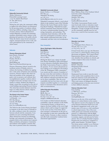#### **Missouri**

#### **Pattonville Community Schools**

**Mickey Schoonover Pattonville Learning Center** 11097 **St. Charles Rock Road St. Ann, MO** 63074 314 213**-**8025

**During the mid** 1980**s, the community's ability to support the school district was threatened by the growing number of residents without school-age children, including a large number of senior citizens. School administrators worked diligently to include all community members, particularly senior citizens, in the planning and operation of the public schools. Today the district enjoys broad community support, intergenerational service work, and active participation by the community in school issues.**

#### **Nebraska**

#### **Florence Elementary School**

**Janet Pinaire, Principal** 7902 **N** 36 **Street Omaha, NE** 68112 402 457**-**5818 **jpinaire@ops.org http://www.FlorenceSchool.ops.org**

**Florence Elementary School, located in the northeast section of Omaha, strives to enhance the learning of children by tapping into a wide variety of business and community resources. Florence believes that when students and members of the community set goals, work on projects, and celebrate their accomplishments together, students achieve at higher levels and a stronger sense of community is evident. Students also helped to design a mural that was painted on the side of a local building representing Florence's history. The school has recently initiated a local dialogue on civility between school, religious, and community leaders.**

#### **The School at the Center Project**

**Jerry Hoffman, Coordinator** 118 **Henzlik –** unl **P.O. Box** 880355 Lincoln, NE  $68588$ 402 472**-**6395 **jerry\_lee\_hoffma@msn.com**

**The School at the Center Project developed in response to the farm crisis in Nebraska in the** 1980**s, seeking to renew the connection between schools and the community. Communities are seen as learning laboratories. Many schools have focused on technology, heritage, and community development. The program believes that students need responsibility, an identity, and purpose. Community and students work together to decide what they want to promote about the community.**

#### **Wakefield Community School**

**Jeanne Surface,** 7–12 **Principal P.O. Box** 330 **Wakefield, NE** 68784 402 287**-**2012 **jsurface@priam.wake.esu**1**.k**12**.ne.us**

**Wakefield Community School, a rural school district of** 460 **students, is part of the Nebraska School at the Center Project and the Annenberg Rural Challenge. Wakefield has implemented community-based education focused on science, entrepreneurship, housing, technology, humanities, and journalism. The community-based education, with the full and active participation of teachers, aims to help students understand their place in the community and their role in its revitalization.** 

#### **New Hampshire**

**Mount Washington Valley Education Roundtables Gail Marrone P.O. Box** 444 **Tamworth, NH** 03886 603 323**-**8841

**During the fall of** 1997**, ninety-six people from Mount Washington Valley participated in seven education roundtables sponsored by the Public Conversations Project, to address the question, "Is our current educational system working or not working for all members of the Mt. Washington Valley community?" Low morale and the concern of members of the nine towns that send students to Kennett High School in Conway about their voice in their children's education provided the impetus for these roundtables. After the seven roundtables had met four times each, the participants assembled together at a community forum to summarize their discussions and to offer recommendations.** 

#### **Orford Education Roundtables**

**Douglas Tifft RR #**1**, Box** 151 **Orford, NH** 03777 603 643**-**7100**, ext.** 245 **douglas.c.tifft@dartmouth.edu**

**Civic leaders in Orford initiated education roundtables, with the assistance of the Public Conversations Project, to discuss how to improve the fiscal viability of the town's high school, which could no longer be supported by the town's tax base. From these discussions emerged a commitment on the part of the community to enter into a partnership with nearby Fairlee, Vermont, to share resources and offer both communities' students better educational opportunities.**

#### **Public Conversations Project**

**Bruce Mallory, Dean of the Graduate School University of New Hampshire Thompson Hall Durham, NH** 03824 603 862**-**3007 **bmallory@christa.unh.edu**

**The Public Conversations Project coordinates local study circles or education roundtables on educational issues throughout New Hampshire. Groups of people from throughout the community typically meet for two hours once a week for four successive weeks.** 

#### **New Jersey**

#### **Education Law Center**

**Steve Block** 155 **Washington Street, Room** 209 **Newark, NJ** 07102**-**3106 201 624**-**1815**, ext.** 18

**Formed twenty-three years ago, the Education Law Center is a school-finance reform group that focuses on litigation. The Center's Parent Representation Project takes calls from parents, identifies their problems in schools, and works to improve those areas of concern.**

#### **Hackensack Cares**

**Rachele Ackerman Hackensack Public Schools** 355 **State Street Hackensack, NJ** 07601 201 648**-**7821

**Hackensack Cares works to meet the needs of the mostly Latino population that it serves. Staff and volunteers work with families during home visits to help build relationships. Their work centers on bilingual education and helping parents to become more involved in their children's education.**

#### **Paterson Education Fund**

**Irene Sterling** 22 **Mill Street,** 3**rd Floor Paterson, NJ** 07501 973 881**-**8914 **isterling@delphi.com**

**Paterson was the site of the second state takeover of a school district in the country. This takeover served as the impetus for much of the Paterson Education Fund's (**pef**) and the district's engagement work, as the community came to be seen as a vital contributor to school improvement. One of the most visible parent and community involvement projects is a collaboration with the Right Question Project in which parents learn how to monitor, support, and advocate for better schools. The** pef**'s Family Friendly Computer Program last year loaned** 900 **computers to public school families. The Kids Voting – New Jersey project enabled** 23**,**000 **Paterson students last year to cast their votes on the same issues that adults did.**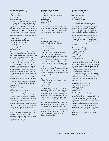#### **Plainfield Public Schools**

**Larry Leverett, Superintendent** 504 **Madison Avenue Plainfield, NJ** 07060 908 753**-**3155 **larleveret@aol.com**

**As part of a strategic planning process, more than** 200 **people participated in the production of the "Community Planning Task Force Report" in** 1996**. The school district subsequently incorporated many of the community's suggestions into its plan. Leadership, Innovation, and Change Councils were created at each school as a site-based management team that includes parents and community members.**

# **Randall Carter Elementary School**

**(Wayne Township Public Schools) Linda Dubsky, Former Principal** 15 **South Baynard Lane Mahwah, NJ** 07430 201 934**-**1896 **zlato@prodigy.net**

**When a new principal arrived at Randall Carter Elementary School in** 1991**, she immediately began work to develop school/business partnerships under a directive from the district. Working with students, teachers, parents, and community members, the school initiated a school-beautification project that planted trees and shrubbery, developed a mile and a half nature trail, and constructed a nature study center. While located at Randall Carter, the nature trail and center are used not only by each of the district's schools but also by the community. Parents, educators, and community members, including one of the school's business partners, have also been actively involved on site-based planning committees.**

#### **Woodstown-Pilesgrove Regional School District**

**Dr. Claude W. McAllister, Superintendent** 135 **East Avenue Woodstown, NJ** 08908 609 769**-**1664 **wpschool@willie.salem.cc.nj.us**

**In March** 1997**, a group of ten school board members, parents, and administrators attended a Parents as Partners workshop sponsored by the New Jersey School Boards Association. Soon after, an engagement process was launched with educators, parents, and community members with the intent of increasing student achievement. More than one hundred community members began work on five committees to address issues such as parent resources, communications, and school climate. Two policies – on parent participation and volunteers – that emerged from these committees were subsequently approved by the school board and will be implemented beginning in January** 1998**.**

#### **The Writers' Room (Montclair)**

**Sheila Crowell, Founder and Director Ellen Kolba, Founder and Director The Writing Centers of Montclair Public Schools** 346 **Park Street Montclair, NJ** 07043**-**2234 973 746**-**7328

**The Writers' Room program has trained nearly a hundred volunteers from the community and from Montclair State University to work with students in the classroom to help them improve their writing skills.**

#### **New York**

#### **Campaign for Fiscal Equity, Inc.**

**Michael Rebell, Executive Director and Counsel** 6 **East** 43**rd Street New York, NY** 10017 212 867**-**8455

**Founded in** 1993 **as a coalition of major educational and parent advocate groups, community school boards, and citizens, the Campaign for Fiscal Equity filed a lawsuit on school funding that was brought before the state. That lawsuit seeks to ensure that all students in New York have access to a "sound,** basic education." CFE has committed itself to **building broad public support – through a multiyear series of statewide regional forums and events in New York City – for a remedy that can be presented to the legislature if the state Court of Appeals rules in favor of the lawsuit.**

#### **Highbridge Community Life Center**

**Brother Edward Phelan, Executive Director** 979 **Ogden Avenue Bronx, NY** 10452 718 681**-**2222

**The Highbridge Community Life Center opened in** 1979 **in response to the mass exodus of families from the community. A handful of women began to canvas the neighborhood, asking residents how they could help, which led to a small referral service. Since then, the Center has offered adult education classes and after-school programs for children, including mentoring. After a strategic planning process in** 1990**, the Center decided to sponsor a** vista **program, and currently there are twenty-four** vista **and Americorp volunteers on the staff. The Center's Futures Workshops bring families on a day-long retreat to talk about their vision of the Highbridge community.**

#### **Industrial Areas Foundation/ Metro New York City**

**Jim Drake Westsiders Together** 165 **West** 65**th Street New York, NY** 10024 212 875**-**9345

**The Industrial Areas Foundation (**iaf**) has been deeply involved in the development of the South Bronx over the past twelve years. Parents and community members helped to design and create a new school called the Bronx Leadership Academy.** iaf **helped to organize several thousand people to confront the school board to ensure the approval of this new school. The Academy, thanks to its small size and acceptance of shared governance with parents, has seen graduation rates rise and more and more graduates going on to college.**

#### **Mothers On the Move (MOM)**

**Lucretia Jones, Chairperson, Board of Directors** 928 **Intervale Avenue Bronx, NY** 10459 718 842**-**2224 **chairmom@aol.com**

mom **began in** 1992 **as the Parent Organizing and Education Project of the Bronx Education Services (**bes**). A group of mothers looked up the reading scores at their children's schools and were shocked at the low achievement levels. They started to organize, meet, and talk with other parents. Incorporated in** 1994**,** mom **organizes parents to fight for their children, for greater funding and resource equity, and for improved student achievement. Membership now includes over** 700 **moms (and some dads).**

#### **Multicultural Music Group, Inc.**

**Luis Mojica, Executive Director** 114 **Briggs Avenue Yonkers, NY** 10701

914 375**-**4096 **The Multicultural Music Group, Inc. (**mmg**), is a nonprofit organization created to promote multicultural music instruction as a tool to achieve global understanding, cultural awareness, and academic improvement. Parents and community members share experiences related to their cultural heritage to enhance lessons.** mmg**'s teacher-training program provides professional development in multicultural music education. Artists of different cultures in residence work with educators in school districts to enhance their music programs.**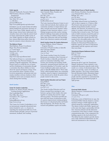#### **Public Agenda**

**Deborah Wadsworth, Executive Director Will Friedman, Director of Public Engagement** 6 **East** 39**th Street New York, NY** 10016 212 686**-**6610 **paresearch@aol.com http://www.publicagenda.org/index.html**

**Founded in** 1975 **by social scientist and author Daniel Yankelovich and former Secretary of State Cyrus Vance, Public Agenda works to help average citizens better understand critical policy issues and to help the nation's leaders better understand the public's point of view. Public Agenda's in-depth research on how citizens think about policy forms the basis for extensive citizen education work.**

#### **The Selborne Project**

**Mark Baldwin, Project Coordinator Roger Tory Peterson Institute** 311 **Curtis Street Jamestown, NY** 14701 716 665**-**2473 **mark@rtpi.org http://www.rtpi.org/selborne.html**

**The Selborne Project is a curricular project of the Roger Tory Peterson Institute, a national, nonprofit organization. The Selborne Project's goal is to instill the love of nature and the revitalization of communities through a curriculum that allows children to learn about the natural and human ecology of the area around the school. Teachers receive in-service preparation, and parents and community members welcome students to their workplaces and in turn accompany them to classes during their learning.**

#### **North Carolina**

#### **Center for Creative Leadership**

**Kathleen M. Holmes-Ponder, Director, Learning Systems Applications One Leadership Place** Post Office Box 26300 **Greensboro, NC** 27436**-**6300 910 288**-**7210 **holmesk@leaders.ccl.org http://www.ccl.org**

**The Center for Creative Leadership (**ccl**) is an international, nonprofit educational institution founded in** 1970**.** ccl **focuses on expanding the interpersonal skill sets of educational leaders through a process of personal assessment, feedback, and coaching.**

#### **Latin American Resource Center (LARC)**

**Aura Camacho Maas, Founder and Executive Director P.O. Box** 31871 **Raleigh, NC** 27622**-**1871 919 870**-**5272 **larc@worldnet.att.net**

**The Latin American Resource Center (**larc**) works with local schools, their students, and community members to impact history and other curricula and increase students' understanding of Latin American cultures.** larc**'s Dialogo program provides teacher training, piloted workshops, lesson plans and materials, and a traveling art exhibit to help educators infuse their classrooms with new knowledge about Latin American countries and people.** 

#### **North Carolina Center for Creative Retirement**

**Carolyn Williams, School Volunteer Program Director University of North Carolina at Asheville One University Heights Asheville, NC** 28804 704 251**-**6140

**The North Carolina Center for Creative Retirement, an institute of the University of North Carolina at Asheville, provides programs in community leadership, volunteerism, peer learning and teaching, health promotion, intergenerational education, and retirement planning. In November** 1996**, the Center facilitated a pilot study-circles program at Asheville Middle School. Those study circles, which included thirty-one community members, aimed to improve communication in the schools and to clarify the points where people wanted to take action.** 

#### **North Carolina Education and Law Project**

**Greg Malhoit P.O. Box** 27343 **Raleigh, NC** 27610 919 856**-**2150

**The North Carolina Education and Law Project emerged from meetings in** 1991 **between a group of forty leaders who came together to examine the need for a legal advocacy project. The Project provides parents with forty hours of instruction as part of a parent-empowerment training program that focuses on educational policy and leadership development. The Project also does research and publishes reports and studies.** 

#### **Public School Forum of North Carolina**

**John Dornan, President, Executive Director** 3739 **National Drive, Suite** 210 **Raleigh, NC** 27612 919 781**-**6833 **http://www.ncforum.org**

**The Public School Forum was founded in** 1985 **in direct response to** *A Nation at Risk.* **The Forum's sixty-person board is evenly divided among business leaders, elected officials, and educators. Its mission is to contribute to creating a school system in North Carolina that is second to none. The Forum seeks to build consensus around the goals of school improvement and an accompanying common vision that extends from the community level to the public policy arena of the state. The Forum is also launching the Institute for Educational Policymakers to build the capacity and vision of educational policymakers and the reporters and writers who cover them.**

#### **Transylvania Dispute Settlement Center**

**John A. Fenner P.O. Box** 1205 500 **North Broad Street Brevard, NC** 28712 704 877**-**3815

**During the fall of** 1996**, the Transylvania Dispute Settlement Center initiated a communitywide discussion, using the study-circles model, on a variety of educational issues. The goal was to provide a vision of excellence in public education. The Center trained facilitation and discussion leaders. Discussions began on a pilot basis with three groups of fifteen people and then expanded to communitywide groups with nearly one hundred people in eight groups.**

#### **Ohio**

#### **Cincinnati Public Schools**

**Monica Solomon, Communications Director P.O. Box** 5381 **Cincinnati, OH** 45201**-**5381

#### 513 475**-**7023

**Following a series of failed levies in** 1990**, the Cincinnati Public Schools adopted a communications strategy to build support for the schools among key community stakeholders. The district worked with Public Agenda and at the same time began a partnership with the New American Schools and the Education Commission of the States to build a strategic communications plan. A key component was building capacity at the local school level. The district has also worked to provide clearer, more easily understood information on standards and assessments to the community.**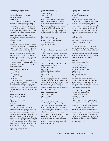#### **Citizen's League of Lorain County**

**Lisa Stofan, Executive Director P.O. Box** 243 1875 **North Ridge Road East, Suite B Lorain, OH** 44055 216 240**-**1980

**The Citizen's League publishes voter guides and hosts forums to help citizens better understand local candidates. The work of the Citizen's League in education this year has focused on leading a series of study circles around a range of educational issues, following a successful study-circles program on race.**

#### **Defiance City Schools/Defiance 2000**

**Ian MacGregor, Assistant Superintendent** 629 **Arabella Street Defiance, OH** 43512 419 782**-**0070

**Defiance** 2000 **was a collaboration between the Defiance and Ayersville schools to establish and work toward a set of goals based on the national Goals** 2000 **plan. The Defiance** 2000 **Committee comprised local education, civic, and business leaders. Six goals were originally chosen; a seventh – to increase parent involvement in schools – was added later. Programs that have grown out of this work include three neighborhood learning centers, a social group that organizes family activities at the middle school level, and a growing mentoring program.** 

#### **Harmony Empowerment Center**

**David Nordyke** 1730 **Section Road P.O. Box** 37763 **Cincinnati, OH** 45222 513 761**-**9700

**The Harmony Empowerment Center is a consumer-oriented education group that provides information and helps parents to get what is best for their children. The Center helps parents and citizens access information, formulate questions, and take action for their children.**

#### **The Kettering Foundation**

**David Mathews, President** 200 **Commons Road Dayton, OH** 45459**-**2799 513 434**-**7300 800 221**-**3657 **http://www.kettering.org**

**The Kettering Foundation is a nonprofit research institution, dedicated to improving the practice of democratic politics. It works in the U.S. and in emerging democracies throughout the world for the development of healthy civil societies, communities able to manage their own public business effectively, and a public voice that clearly expresses the political will of the people. It also conducts research, which is used to craft "tools," study guides, community workbooks, and other exercises that help a public act effectively and responsively on its problems.**

#### **Medina Public Schools Charles Irish, Superintendent** 120 **West Washington Medina, OH** 44256

330 725**-**9201

**When a conflict arose in Medina over a picture of Jesus displayed in an elementary school, school district officials used the opportunity to engage a broad range of school and community participants in a series of community forums. The school district has continued to use engagement strategies to develop a strategic plan and to decide whether to build a new high school.**

#### **The Mohican Institute**

**William G. O'Callaghan, Jr. William G. O'Callaghan Associates** 1201 **Virginia Avenue Lakewood, OH** 444107 216 227**-**0236 **cork@stratos.net**

**The Mohican Institute began as a group of thirty Ohio superintendents who met to discuss ways in which schools and communities could work differently in the future. The Institute was eventually incorporated in order to help other school districts in Ohio work with their publics.**

#### **Ohio's BEST – Building Excellent Schools for Today and the 21st Century**

**Donald S. Van Meter Jack Johnson** 68 **North High Street,** 4**th Floor Columbus, OH** 43215 614 469**-**1200

**Ohio's BEST** is a public education and **awareness campaign of the Ohio Education Improvement Consortium, Inc., a statewide alliance committed to improving educational opportunities and results for all Ohio school children. One program, Ohio's** best **Practices, identifies and showcases exemplary practices across the state.** 

#### **Olivehill Accelerated School**

**Roger Evans, Principal** 1250 **Olive Road Dayton, OH** 45426 513 854**-**0761

**During meetings in church basements three years ago, the Olivehill Accelerated School launched its school reform efforts by developing a vision for its dream school. Now in the third year of the process, a team of teachers, the principal, two parents, and two students meet every other week. That team reviews reports from four operational-change groups, made up of people from within the school, that look at curriculum and instruction, parent and community involvement, physical plan and school safety, and school discipline and climate.**

#### **Olmstead Falls School District**

**Robert Kreiner, Superintendent P.O. Box** 38010 **Olmstead Falls, OH** 44138 216 235**-**7979

**School districts in Ohio are continually required to go back to their constituents to ask for levy approval to finance school improvement projects. Olmstead Falls engaged citizens as part of a process to garner support for a levy to build classrooms and increase the operating budget. The district has continued to work with a core group of thirtyto-forty community members.**

#### **Reaching Heights**

**Susie Kaeser** 3130 **Mayfield Road, Suite E-**239 **Cleveland Heights, OH** 44118 216 932**-**5110

**Reaching Heights is a small, communitybased organization founded in** 1989**. A dialogue, "Public Schools for the** 21**st Century," based on the study-circles model, convened community members around increasing community involvement and collaboration with educators and redesigning schools.** 

#### **SchoolMatch**

**Jeffrey Glaze, Manager for Consulting Services Blendonview Office Park** 5027 **Pine Creek Drive Westerville, OH** 43081**-**4849 614 890**-**1573 **glaze@schoolmatch.com http://schoolmatch.com**

**SchoolMatch started in** 1986 **to help provide relocating families with information on schools. They maintain a national database of information on every public school and each accredited private school in the country. SchoolMatch has also completed over** 650 **audits of school systems to date.**

#### **Wauseon Exempted Village Schools**

**Neil Weber, Superintendent** 120 **East Chestnut Street Wauseon, OH** 43567 419 335**-**6616

**A boom in the projected growth of the student population prompted district officials to convene an engagement process to build support for a \$**7**.**2**-million bond issue to construct a new school. Administrators began meeting in** 1995 **to discuss their options to accommodate the growth. Meetings with parents were scheduled, and a committee perused voting lists to find potential supporters. A communitywide "state of the schools" meeting drew more than** 550 **people. The bond issue was subsequently passed with** 63 **percent of the vote.**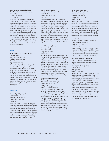#### **West Holmes Consolidated Schools**

**Dean Wurtzler, Former Superintendent P.O. Box** 897 **Kilbuck, OH** 44637 330 722**-**4513

**Faced with serious overcrowding in their schools, administrators and principals went to teachers and parents to discuss the problem and to begin to build support for a major bond issue. A committee of school and community members formed to devise alternate plans to build a new high school and eleven new classrooms at the elementary level or to commit to a year-round scheduling plan with split-sessions. These plans were presented to** 300 **community members at a "state of the schools" meeting, and the Board decided to place a \$**16**.**8**-million bond issue on the ballot. That bond issue eventually passed with** 58 **percent of the vote.**

#### **Oregon**

**Northwest Regional Educational Laboratory Robert E. Blum** 101 **S.W. Main, Suite** 500

**Portland, OR** 97204**-**3297 **blumb@nwrel.org http://www.nwrel.org**

**The mission of the Northwest Regional Educational Laboratory (**nwrel**) is to improve educational results for children, youth, and adults by providing research and development assistance in delivering equitable, high-quality educational programs.** nwrel **provides research and development assistance to education, government, community agencies, business, and labor.** nwrel**'s primary service area is the Northwest states of Alaska, Idaho, Montana, Oregon, and Washington.** 

#### **Pennsylvania**

#### **Alliance Organizing Project**

**Gary Rodwell** 152 **West Lehigh Avenue Philadelphia, PA** 19133 215 739**-**5702

**Founded in** 1995**, the Alliance Organizing Project (**aop**) educates and funds professional community organizers to train parents to be able to hold all parts of the community accountable for maintaining and improving a quality public education system.** aop **believes that parent and community organizing is the key component to creating and sustaining deep parental involvement in schools.**

#### **Asian Americans United**

**Ellen Somekawa, Executive Director** 801 **Arch Street Philadelphia, PA** 19107 215 925**-**1538

**Asian Americans United (**aau**) formed in** 1985 **when small groups of like-minded individuals came together to build a broad base to support Asian American communities in Philadelphia. In** 1986**,** aau **began a pilot summer program to provide an alternate education to Southeast Asian children in West Philadelphia and to train youth and organize parents.** aau**'s goal is to get more parents involved in the education of their children by providing them with information and organizing them around issues such as the creation of English as a Second Language programs and ensuring bilingual staff in schools.**

#### **Central Elementary School**

**Christopher Yeager, Principal** 829 **Turner Street Allentown, PA** 18102 610 820**-**2123

**To solve an overcrowding problem, the district in March** 1996 **selected Central Elementary School to pilot year-round schooling. As part of a three-year study and planning process, the district reached out to community members, businesses, and day-care providers. The school also contacted parents through invitations, phone calls, and surveys to inform them about the new program. Early indicators of success are a higher daily attendance level, a focus on positive discipline, and a stronger relationship with the community.**

#### **Children Achieving Challenge**

**Vicki Phillips, Executive Director** 1818 **Market Street, Suite** 3510 **Philadelphia, PA** 19103 215 575**-**2200 **http://www.philsch.k**12**.pa.us**

**The Children Achieving Challenge is a public-private partnership, created with a \$**50**-million grant from the Annenberg Foundation, to support Philadelphia's school improvement plan. Public engagement is one component of the Philadelphia Public Schools' ten-part Children Achieving plan. The Challenge has promoted the development of school councils to enable parents to take part in site-based management. Recently, parents, teachers, and community members participated in a process to craft districtwide content standards.** 

#### **Communities in Schools**

**Martin Nock, Executive Director** jfk **Center, Room** 450 734 **Schuylkill Avenue Philadelphia, PA** 19146 215 875**-**3171

**Ten years old and chartered by the Philadelphia school district, Communities in Schools (**cis**) is a stay-in-school, drop-out prevention program aimed at at-risk youth.** cis**, which is housed in seventeen high schools, including nine Small Learning Communities, works to help at-risk youth graduate and find employment.** cis **develops curricula, such as health management, that are career-skills oriented.**

#### **Eastside Alliance**

**Jennifer O'Donnell, Project Coordinator RD** 44808 **Liberty Avenue Pittsburgh, PA** 15224 412 621**-**0644 **Eastside Alliance is a parent-advocacy initia-**

**tive based on the Alliance Organizing Project in Philadelphia. The goal of Eastside Alliance is to assemble an organized group of parents who are focused on student achievement.**

#### **Mon Valley Education Consortium**

**Linda Croushore, Co-Executive Director Carmen Sarnicola, Co-Executive Director** 336 **Shaw Avenue McKeesport, PA** 15132**-**2917 412 678**-**9215 **mvec@mvec.org http://www.mvec.org Founded in** 1987**, the Mon Valley Education**

**Consortium (**mvec**) is a member of the Public Education Network and is dedicated to achieving high-quality public education for every child.** mvec **works in twenty-five school districts and their constituent communities in southwestern Pennsylvania to restore and build public confidence in the schools and to create strong linkages between the community and the schools. During the** 1995**–**96 **school year,** mvec **brought together educators and the public in those communities where the Consortium works in a Community Summit to address concerns in their schools and communities.**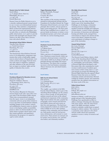#### **Parents Union for Public Schools Sarah Gilliam** 311 **S. Juniper Street, Suite** 602 **Philadelphia, PA** 19107 215 546**-**1166

**ParentU@aol.com**

**Parents Union for Public Schools (**pups**) is a citywide, multiracial parents' group formed in** 1972 **to serve as an informational resource for parents. They maintain a comprehensive library of fiscal and organizational information, such as test scores and attendance rates, on each of the** 257 **schools in the Philadelphia public school system.** pups**' goal is to provide parents with meaningful and adequate information to be able to have direct conversations with school officials.**

#### **Pennsylvania School Reform Network**

**Timothy Potts, Director** 317 **North Front Street Harrisburg, PA** 17101 717 238**-**7171 **psrn@elc-pa.org**

**The Pennsylvania School Reform Network (**psrn**) is an independent, nonpartisan organization that works to build public engagement in school reform in Pennsylvania.** psrn **works to inform and engage Network members with respect to legislative, regulatory, and other initiatives at the state level that have an impact on students' rights and the quality of education they receive.**

#### **Rhode Island**

#### **Providence Blueprint for Education (PROBE)**

**Edward D. Eddy, Chair Daniel D. Challener, Director** 15 **Westminster Street, Suite** 824 **Providence, RI** 02903 401 454**-**1056 **eddy@edgenet.net dchall@aol.com**

**The Providence Blueprint for Education (**probe**) began in the early** 1990**s with a twoyear study of the Providence public schools. Thirty-nine recommendations emerged from the report.** probe **is an independent community-advocacy group whose mission is to try to get those recommendations adopted, including changes in the teachers' contract and establishment of parent centers in schools.** probe **is developing a public accountability project to allow six schools initially (on a voluntary basis) to prepare school report cards that contain qualitative and quantitative information; the program is to expand in** 1998 **to twelve schools.**

#### **Tiogue Elementary School**

**Barbara Werchadlo, Principal** 170 **Shore Drive Coventry, RI** 02816 401 822**-**9460

**After members of the steering committee attended an informational meeting with the Foundation for Excellent Schools, the Tiogue Elementary School formed a core team of the principal, three teachers, and two parents to begin a goal-setting process. The three goals that the team established were to achieve** 100 **percent family involvement, to initiate a town beautification project, and to have each grade level take on a service-learning project.**

#### **South Carolina**

**Charleston County School District Meg Howle** 75 **Calhoun Street Charleston, SC** 29401 803 937**-**6302

**With a task force of community representatives, Charleston created elected, widely representative school governance councils for every school, which are in charge of staff and principal selection and budget and curriculum decisions. The district also is reaching out more to the local business community, African American civic and church leaders, and parents.** 

#### **South Dakota**

#### **Belle Fourche School District**

**John Swanson** 1113 **National Street Belle Fourche, SD** 57717**-**1900 605 892**-**2138 **jswanson@iw.net**

**The roughly** 1**,**450 **students in the Belle Fourche School District, which is part of the Annenberg Rural Challenge, use the community as a focus of study. At each grade level, students research and write on the cultural and historical components of the community. High school students who take a popular historiography course research and interview local elderly citizens and write stories on their lives and experiences. The final documents prepared by students are archived and made available for use by other students, members of the community, and local historians. Sixth-graders study the local government, infrastructure, and economy to create mock towns. These projects are assessed, not by teachers, but by parents, civic, and business leaders, and community members.** 

**Elm Valley School District Cindy Rall P.O. Box** 6 **Barnard, SD** 57426**-**0006 605 329**-**2145 **rallcbti@gate.com**

**Educators in the Elm Valley School District, which is part of the Annenberg Rural Challenge, are developing a communityvisioning process to engage community members around the strengths and weaknesses of their schools. A variety of ideas, including the renovation of classrooms and addressing housing and elderly needs, emerged from conversations to improve the schools and the towns in the district. Students have been active participants in looking at changes to parts of the curriculum.**

#### **Howard School District**

**Jim Lentz, Principal Howard High School P.O. Box E Howard, SD** 57349**-**0210 605 772**-**5515 **howhisch@santel.net**

**The Howard, South Dakota, district, which is part of the Annenberg Rural Challenge, has focused on four ideas: place, demographics, sustainability, and social justice. Students at Howard High School developed a cashflow project that, after examining how much revenues would increase if residents spent more money in their county, led to a** 27 **percent increase in revenues the following year. Howard High School has also opened a Rural Resource Center that serves as a hub for community activities and interaction. Directed readings by students, parents, and community members have also sparked conversations on the future needs of the area.**

#### **Pollock School District**

**John LaFave P.O. Box** 207 **Pollock, SD** 57648**-**0207 605 889**-**2831 **jlafave@sioux.sodac.net**

**Students in Pollock, a small town of** 400 **people and part of the Annenberg Rural Challenge, have spearheaded an effort to address a shortage of housing and a disconnect with senior citizens. After the school developed a Life Skills curriculum, students worked to refurbish a mobile home as assisted housing for elderly residents. The creation of a community center adjacent to the school will also enable school and community members to access a variety of resources and programs.**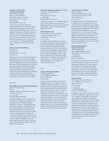# **Program for Rural School**

**and Community Renewal Mike Johnson, Director Box** 507**, Wenona Hall** 219 **South Dakota State University Brookings, SD** 57005**-**0095 605 688**-**4198 **JohnsonM@ur.sdstate.edu**

**The Program for Rural School and Community Renewal was started at South Dakota State University. It is part of the Annenberg Rural Challenge and works with eighteen communities. Schools use the community as a focus of study. Educators, students, parents, and community members, as part of a six-to-ten-person core team, ask themselves questions such as "Why are the schools there?" and "What should kids know?" Students are involved in decision making.** 

#### **Shannon County School District**

**Terry Albers P.O. Box** 109 **Batesland, SD** 57716**-**0109 605 288**-**1921

**The past two U.S. census reports have identified Shannon County, home to the Pine Ridge Indian Reservation and the small community of Batesland, as the poorest county in the country. With funding from the National Academy of Sciences and the Annenberg Rural Challenge, the district has provided computers and training throughout the school. The school, managed by a leadership team, has opened up by implementing school-based management and making the community an integral part of its activities.**

#### **Tennessee**

#### **Betty Phillips Center for Parenthood Education Jerold P. Bauch, Director**

**Box** 81 **Peabody College of Vanderbilt University Nashville, TN** 37203 615 322**-**8080 **jerry.bauch@vanderbilt.edu**

**The Betty Phillips Center for Parenthood Education is a research, development, and training center of Peabody College at Vanderbilt University. The Bridge Project, developed in** 1994**, is a national effort with the American Business Collaboration for Quality Dependent Care to improve and expand involvement in the schools. Families receive vital information, through voicemessaging technology, from school each day so they can provide a supportive environment for their children. During the** 1995**–**96 **school year, more than a hundred schools in eleven school districts qualified as the first Bridge Project schools.**

#### **Partners for Academic Excellence, Inc. (PACE)**

**Anne Hall, Executive Director P.O. Box** 4212 **Chattanooga, TN** 37405 423 886**-**9849 **hall\_annie@a**1**.cps.k**12**.tn.us**

**Founded in** 1986**,** pace **is a nonprofit organization whose mission is to generate and facilitate parental and community involvement in the public schools of Chattanooga and Hamilton counties.**

#### **Public Education Fund**

**Steve Prighozy, Executive Director** 100 **East** 10**th Street, Suite** 500 **Chattanooga, TN** 37402 423 265**-**9403

**The Public Education Fund (**pef**) helped the Chattanooga Public Schools gather support for a referendum to merge the city schools with the surrounding Hamilton County school system. The** pef **undertook a get-out-the-vote campaign, emphasizing the need for high standards for students. After city voters overwhelmingly voted to merge, the** pef **helped to craft a new plan for the merged district. Through community hearings, surveys,** 120 **town meetings, and a media campaign,** 35**,**000 **people were involved in the process.** 

#### **Texas**

# **Hispanic Education Committee**

**Sister Bernadine Reyes** 216 **W. Highland Boulevard Boerne, TX** 78006 830 816**-**8470

**A group of parents in Boerne formed the Hispanic Education Committee to address the plight of Hispanic students. In** 1992**, for instance, while** 73 **percent of white students in the tenth grade took and passed all three of the state's exit exams, only** 22 **percent of Hispanic students did. Listening to the Committee's concerns, the School Board subsequently incorporated a goal in its** 1994 **and** 1995 **annual plans to work with parents and community members to narrow this achievement gap. Since then, the gap has been reduced, and both groups are performing at higher levels. In** 1997**,** 55 **percent of Hispanic students and** 87 **percent of white students in the tenth grade took and passed the exams.**

#### **Industrial Areas Foundation**

**Carrie Loughlin Texas Interfaith Education Fund** 1106 **Clayton Lane, Suite** 120**W Austin, TX** 78723 512 459**-**6551

**Founded in the** 1940**s, the Industrial Areas Foundation (**iaf**) is a national network of more than forty umbrella groups of organizations that work to improve the quality of life in disadvantaged communities. The Alliance Schools Project, established in** 1992 **as an outgrowth of** iaf**'s work, aims to increase parent and community involvement in schools. Alliance Schools focus on fostering and building parental leadership, making student achievement the top goal of school restructuring, and building community relationships around education reform.**

#### **Intercultural Development Research Association**

**Aurelio Montemayor** 5835 **Callaghan Road, Suite** 350 **San Antonio, TX** 78228**-**1190 210 684**-**8180 idra**@idra.org http://www.idra.org**

**Founded in** 1973**, the Intercultural Develop**ment and Research Association ( $IDRA$ ) is an **independent, nonprofit advocacy organization dedicated to improving educational opportunity. IDRA conducts research and development activities; creates, implements, and administers innovative education programs; and provides teacher, administrator, and parent training and technical assistance.** 

#### **Just for the Kids**

**Brad Duggan, Executive Director** 301 **Congress Avenue, Suite** 375 **Austin, TX** 78701 800 762**-**4645 512 320**-**4150 jftk**@just**4**kids.org http://www.just**4**kids.org**

Founded in 1995, Just for the Kids (JFTK) is a **nonprofit, nonpartisan organization that educates, engages, and energizes individuals in every community in Texas to provide the opportunity for all children to maximize their** potential in the public school system. **JFTK**'s **Community Engagement Chapters brings together parents, educators, and business and community leaders to set clear and measurable goals, to use student achievement data to evaluate where a community stands relative to the goals, and to form partnerships to hold all stakeholders accountable for their roles to reach these goals and to sustain improvements over time.**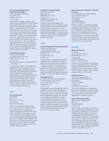# **Sam Houston Elementary School (Lower Rio Grande Valley)**

**Connie Maheshwari, Principal** 2000 **North** 23**rd** McAllen, TX 78501 210 971**-**4484

**Shortly after becoming a member of the Industrial Areas Foundation's Alliance School Project about three years ago, teachers and staff from Sam Houston Elementary School began to visit parents' homes. They soon learned that safety was a major concern, along with a desire to see cleaner alleys around the school building. The school worked with the local police to assign two more police officers to the area outside of the school, and with parents who now have cleaned up and monitor the school's alleys. These new relationships with parents have led to the development of a contract of expectations signed by teachers, parents, and students and to the creation of report-card nights where parents visit the school every six weeks.**

#### **Zavala Elementary School**

**Loretta Caro, Principal** 310 **Robert Martinez Jr. Street Austin, TX** 78702**-**4536 512 414**-**2318 **http://www.austin.isd.tenet.edu/schools/elem/ zavala.html**

**In** 1990**, Zavala initiated a partnership with the Industrial Areas Foundation (**iaf**) to build and strengthen relationships with the community. The school began to restructure itself by organizing teachers to begin a visioning process, mainstreaming all students, and introducing a gifted reading program. Zavala's focus has always been to improve student achievement which, along with increased student attendance, has soared to where** 93 **percent of fourth-graders now pass the state's writing-proficiency test.**

#### **Vermont**

#### **First Day Foundation**

**Terry Elrich P.O. Box** 10 **Bennington, VT** 05201 802 447**-**9625 **http://www.firstday.org**

**Nearly** 1**,**200 **parents and "parent equivalents" in five Vermont towns kicked off the** 1997**–**98 **school year by visiting eleven schools. Participating schools have the flexibility to design their own programs to welcome parents, discuss the upcoming school year, and to help parents understand the integral role they can play in their children's academic success. One hundred twenty-four area businesses signed onto this partnership by pledging to give their employees time off to visit their children's schools.**

## **Foundation for Excellent Schools**

**Rick Dalton, President RD** 4**, Box** 480 **Middlebury, VT** 05753 802 462**-**3170 **fes@panther.middlebury.edu http://www.fesnet.org**

**Founded in** 1991**, the Foundation for Excellent Schools (**fes**) is a nonprofit organization dedicated to improving the quality of American public education (K–**12**).** fes **sponsors programs designed to increase the opportunities and improve the academic performance of all students by bringing together educators, students, parents, and the local business community.**

#### **Virginia**

#### **Gloucester Department of Community Education**

**Christi Lewis, Director of Community Education Gloucester County Government P.O. Box** 1306 **Gloucester, VA** 23601 804 693**-**5730

**The Department of Community Education, founded in** 1976**, coordinates school programs that are geared toward involving the community in schools. The Department coordinates volunteer activities and partnerships for civic associations, individuals, and businesses. In addition, the Department directs after-school enrichment programs and publishes newsletters for all of the schools.** 

#### **Knowledge Network**

**Dr. Kent Lloyd, Chairman and President Dr. Diane Ramsey, Vice President** 1511 **Lincoln Way, Suite** 304 **McLean, VA** 22102 703 356-5009

**In the spring of** 1997, **the Knowledge Network published a resource book,** *Reclaiming Our Nation At Risk: Lessons Learned for Reforming Our Elementary Schools,* **to kick off a nationwide public engagement campaign. The information, strategies and models of successful reform contained in the book were drawn from interviews with forty-four nationally recognized school reformers and educational leaders. The idea for this guide came from an April** 1995 **summit, sponsored by the Network, with** 150 **educational, political, business, parent, and community leaders.**

#### **National Association of Partners in Education, Inc. (NAPE)**

**Sara Melnick, Director of Development** 901 **N. Pitt Street, Suite** 320 **Alexandria, VA** 22314 703 836**-**4880 **napehq@napehq.org http://www.napehq.org**

**Formed in** 1988**,** nape **provides leadership in the growth and formation of educational partnerships between businesses, schools, and the community to ensure success for all students.** nape**'s Ambassadors for Education program aims to raise the level of awareness around education.** nape **trains people at the national level who, in turn, train "ambassadors" in their state and locality to get involved with schools and the issues facing them.**

#### **Washington**

#### **Alliance for Education**

**Joel Groen** 500 **Union Street, Suite** 320 **Seattle, WA** 98101**-**2332 206 343**-**0449 **joel@alliance**4**ed.org http://www.alliance**4**ed.org**

**Formed in** 1995**, the Alliance for Education works in partnership with the Seattle Public Schools to ensure that the district has the essential resources and leadership to prepare Seattle students for success in postsecondary education and the world of work.**

#### **Cascade Consortium**

**Tom Reese, Superintendent Lake Chelan School District #**129 **P.O. Box** 369 **Chelan, WA** 98816 509 682**-**3515 **treese@esd**171**.wednet.edu**

**The Cascade Consortium is a partnership between five Washington rural school districts. Its goal is to examine ways that the districts can work together, expand collaborative opportunities, and share resources.**

#### **Methow Valley School District**

**Suellen White, Superintendent Box** 126 **Twisp, WA** 98856 509 996**-**9205

**Methow Valley School District, with** 800 **students, strives to engage the public by increasing student involvement in the community, providing adult role models and mentors, strengthening the relationship between the schools and the community, and emphasizing that students can build a successful life and career by staying locally upon graduation. The district's Methow Valley As a Classroom program enables every high school student to take part in an apprenticeship program half a week for each of fifteen weeks.**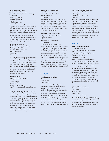#### **Parent Organizing Project**

**Joe Chrastil, Lead Organizer Joe Gaffney-Brown, School Community Organizer** 1526 **E.** 11**th Avenue Spokane, WA** 99202 509 532**-**1688 **ParentOrg@aol.com**

**The Parent Organizing Project (**pop**) has helped to create and sustain site councils in seventeen schools in eastern Washington.** pop **works to engage parents in conversations about public education. Parent organizing within each school is initiated by a team of the principal, three-to-four teachers, and six-to-ten parents.** pop **provides training to members of site councils and to members of the school's organizing team.**

#### **Partnership for Learning**

**William Porter, Executive Director Washington Mutual Bank** 1201 3**rd Avenue,** 12**th Floor Seattle, WA** 98161**-**1007 206 625**-**9655 **pfl@eskimo.com**

**After the Washington school improvement act passed in** 1993**, the Washington Business Roundtable helped to form the Partnership** for Learning (PFL). PFL's main goal is to pro**mote public awareness about the state's efforts to raise student standards and enhance** student achievement. PFL works primarily **with opinion leaders and policymakers and develops print materials for a database of** 20**,**000**-to-**25**,**000 **people.**

#### **Powerful Schools**

**Greg Tuke, Executive Director** 3301 **South Horton** Seattle, WA 98144 206 722**-**5543 **gtuke@cks.ssd.k**12**.wa.us http://www.seattleantioch.edu/students/jdob meier.p**

**Begun in** 1989**, Powerful Schools is a coalition of elementary schools in Seattle that is partnered with two community organizations. Its mission is to improve student performance for all children, strengthen the community by establishing schools that serve as community hubs, and create an effective and cost-efficient model for school-reform that is replicated elsewhere. A parent-incentive program has hired twenty-five to thirty low-income parents to work in schools and classrooms as tutors and aides or in other positions.**

# **Seattle Young People's Project**

**Laura Timme** 1265 **South Main Street, #**310 **Seattle, WA** 98144 206 860**-**9606

**Seattle Young People's Project is a youthempowerment organization made up of** 620 **members, all under nineteen-years-old. Its mission is to provide youth with a chance to speak out on issues that affect them and to work toward positive social change in their schools and communities.**

#### **Wenatchee School District #246**

**John W. Gordon, Superintendent** 235 **Sunset Avenue P.O. Box** 1767 **Wenatchee, WA** 98807**-**1767 509 663**-**8161 **jgordon@internet.wsd.wednet.edu**

**Following the buy-out of the former superintendent's contract and a failed bond levy during the** 1995**–**96 **school year, the new superintendent initiated community forums to dialogue about the school district. Three hundred twenty people took part in five public forums. This outreach to the community led to the passage of a major bond levy in March** 1997**. The district has continued to engage the public through a strategic planning process with community members, the initiation of a "**ceo **dialogue," and the creation of parent advisory committees.** 

#### **West Virginia**

#### **Atenville Elementary School**

**Darlene Dalton Atenville, WV** 304 855**-**3173

**About six years ago, Atenville, one of the communities involved in the Responsive Schools Project, began working to increase family involvement in the schools. Atenville Elementary School hired a parent coordinator, opened a family center, coordinated home visits, and established tutoring centers in local churches. Parents were given more decision-making authority through serving on school committees that set short-term and year-long goals. Both students and families now develop portfolios to track their progress.**

#### **West Virginia Local Education Fund Emily Papadopoulos, Director P.O. Box** 3071 **Charleston, WV** 25331**-**3071

304 342**-**7850

**Started in** 1983 **by state business, civic, and educational leaders, the West Virginia Local Education Fund is a catalyst for business and community involvement, leading to enhanced educational opportunities and student achievement. The Education Fund has three primary goals: to provide grants and awards to schools for innovation and recognition of achievement; to foster community and business involvement in schools; and to provide research for policy makers.** 

#### **Wisconsin**

#### **Arts in Community Education**

**Mary Wayne Fritzsche, Director of Education and Outreach Milwaukee Symphony Orchestra** 330 **East Kilbourn Avenue, Suite** 900 **Milwaukee, WI** 53202 414 291**-**6010**, ext.** 265 **http://www.milwaukeesymphony.org**

**Arts in Community Education (**ace**), a program of the Milwaukee Symphony Orchestra, is an education partnership that seeks to advance a child's overall learning and development by integrating music and arts into the daily school curriculum.** ace **begins in kindergarten and is designed to follow children sequentially through each grade level. An ensemble presentation at the end of each year brings children and their families together at school, and an** ace **newsletter keeps parents informed about activities and ideas for involvement at school and at home.**

#### **New Paradigm Partners**

**Chuck Ericksen, Coordinator P.O. Box** 86 **Tony, WI** 54563 715 532**-**7760 **ericksen@centuryinter.net**

**New Paradigm Partners is a consortium of six rural school districts. Their goal is to build social capital and to make students more enterprising and entrepreneurial. They coordinate apprenticeships, tutoring, and service learning for students.**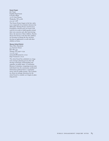#### **Parent Project**

**Jim Vopat English Department Carroll College** 100 **N. East Avenue Waukesha, WI** 53186 414 347**-**0368

**The Parent Project began in the late** 1980**s as an outgrowth of an initiative between the Milwaukee Writing Project and the Joyce Foundation. Parents meet two hours each week for six weeks to build agendas around their own concerns and, after interviewing them, the interests of their children. Parents discuss the literacy work that their children are focusing on during the day and then develop an application to work with their children at home.** 

#### **Wausau School District**

**Mary Ellen Marnholtz** 415 **Seymour Street P.O. Box** 359 **Wausau, WI** 54402**-**0359 715 261**-**2502 **memarnhz@wausau.k**12**.wi.us http://wausau.k**12**.wi.us**

**The school board has embarked on a longterm strategic planning process that will develop community understanding and capitalize on public input. A Community Resource Committee, comprising twenty-nine individuals from the community, synthesized information gathered from a community survey and two public forums. The Committee chose six strategic directions for the school board to consider as it begins its planning process.**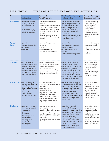# appendix c types of public engagement activities

| <b>Types</b>              | <b>Parent</b><br>Participation                                                                                                                                                                        | Community/<br><b>Parent Organizing</b>                                                                                                                                                                                                                                                    | <b>Standards Development/</b><br>Implementation                                                                                                                                                                                                                                                                                                      | <b>Strategic Planning/</b><br><b>Community Visioning</b>                                                                                                                                                                        |
|---------------------------|-------------------------------------------------------------------------------------------------------------------------------------------------------------------------------------------------------|-------------------------------------------------------------------------------------------------------------------------------------------------------------------------------------------------------------------------------------------------------------------------------------------|------------------------------------------------------------------------------------------------------------------------------------------------------------------------------------------------------------------------------------------------------------------------------------------------------------------------------------------------------|---------------------------------------------------------------------------------------------------------------------------------------------------------------------------------------------------------------------------------|
| <b>Motivations</b>        | · strengthen parents'<br>ability to serve as<br>critical partner in<br>student success<br>• enable parents to<br>serve as important<br>link to community                                              | • foster improvements in<br>schools<br>• create parent and community<br>constituencies for schools<br>• develop community capacity<br>to identify concerns, demand<br>change<br>• develop stronger sense of<br>community while improving<br>schools                                       | • reach common agreement<br>on what all students should<br>know and be able to do<br>• increase expectations for<br>student performance<br>• create more highly skilled<br>workforce<br>• forge stronger relationships<br>among schools, families<br>and communities                                                                                 | • create a community-<br>supported plan<br>for the future of<br>schools, districts or<br>communities<br>• examine role of<br>schools in achieving<br>preferred community<br>future                                              |
| Actors/<br><b>Drivers</b> | • parents<br>• community agencies<br>• administrators<br>• teachers                                                                                                                                   | • community organizers<br>• churches<br>• parents<br>• social service and<br>community organizations                                                                                                                                                                                      | • policymakers<br>• administrators, teachers<br>• business people<br>• community members<br>• parents<br>• coalitions of these groups<br>· students                                                                                                                                                                                                  | • community residents<br>• community-based<br>organizations<br>· school administrators,<br>teachers<br>• students                                                                                                               |
| <b>Strategies</b>         | • training/workshops<br>• access to information<br>• inclusion on school<br>management teams<br>• access to information<br>and tools/know-how<br>to interpret and use it                              | • grassroots organizing<br>• use of data to identify needs<br>• face-to-face meetings<br>· door-to-door canvassing<br>· public, house, church meetings<br>· develop parents' leadership<br>skills                                                                                         | • public opinion research<br>(surveys, focus groups)<br>• public hearings, deliberation<br>• inclusive process that<br>enables people to weigh in<br>on contents of standards<br>• media, public information<br>• materials that explain complex<br>concepts in simple terms                                                                         | • open, deliberative<br>forums, supported<br>by smaller meetings<br>around particular<br>issues<br>• creation of strategic<br>plans<br>• citizen task forces                                                                    |
|                           | Achievements • improved student<br>performance, behavior,<br>attendance<br>• improved self-esteem<br>of parents<br>· improved communi-<br>cation between<br>parents and schools                       | • better communications<br>• collaboration between parents<br>and schools<br>• improved services for<br>parents/families<br>• additional resources for<br>schools, communities<br>• improved student achievement<br>• regular sharing of school<br>and student achievement<br>information | • dialogue has taken place on<br>what students should know<br>· improved understanding<br>and support of common<br>expectations for student,<br>school performance<br>· political consensus for<br>student, school performance<br>• benchmarks for progress<br>toward them                                                                           | • improved services<br>for residents<br>• collaborative decisions<br>• process that enables<br>new community<br>alliances and civic<br>capacity (a "place"<br>where other decisions<br>can be made)                             |
| <b>Challenges</b>         | • developing resources<br>for ongoing support<br>• overcoming<br>perception of school<br>authorities<br>• balancing insider/<br>outsider roles<br>• reaching diverse<br>audiences<br>• building trust | • limiting perceptions of<br>confrontation<br>• creating collaboration among<br>once-divided groups<br>• building capacity of disenfran-<br>chised groups to participate<br>powerfully<br>• gaining access to information                                                                 | • describing standards in<br>meaningful language<br>• sustaining support over time<br>• overcoming fears/concerns<br>about "gatekeeper" tests<br>• generate subsequent<br>support for professional<br>development or reconsti-<br>tution required when schools<br>fail to meet standards<br>• dealing with public anger<br>when standards aren't met | • moving from plan-<br>ning to action<br>• including all stake-<br>holders in the process<br>• mediating competing<br>and deeply held<br>beliefs and vision for<br>school<br>• integrating plans into<br>district/schools' work |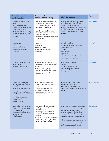| <b>Public Conversation</b><br>and Deliberation                                                                                                                                                                                                                  | Governance/<br><b>Shared-Decision-Making</b>                                                                                                                                                                                                                                       | <b>Legislation and</b><br><b>Policy Development</b>                                                                                                                                                                                                                                                                                                                                                         | <b>Types</b>          |
|-----------------------------------------------------------------------------------------------------------------------------------------------------------------------------------------------------------------------------------------------------------------|------------------------------------------------------------------------------------------------------------------------------------------------------------------------------------------------------------------------------------------------------------------------------------|-------------------------------------------------------------------------------------------------------------------------------------------------------------------------------------------------------------------------------------------------------------------------------------------------------------------------------------------------------------------------------------------------------------|-----------------------|
| • connect citizens to each<br>other<br>• bring members of the<br>community together to talk<br>about tough issues<br>• build effective partnerships<br>among churches, non-profit<br>agencies, elected officials,<br>citizens                                   | • enable parents and community<br>members to have a voice<br>in education decisions, such<br>as hiring, budgeting and<br>curriculum<br>• devolve responsibility from<br>central bureaucracies to schools<br>and communities<br>• respond to mandates from state<br>or local policy | · develop and pass new legislation<br>to improve education practices,<br>resources, and environments<br>· increase awareness and understanding<br>of public policy affecting schools<br>· resolve desegregation and equity<br>lawsuits                                                                                                                                                                      | <b>Motivations</b>    |
| • community,<br>school district leaders<br>• trained facilitators<br>• community residents<br>• students                                                                                                                                                        | • parents<br>• teachers<br>• administrators<br>• community members<br>• students                                                                                                                                                                                                   | $\bullet$ education leaders<br>• community-based organizations<br>• business leaders<br>• parents<br>• policymakers<br>· legislators<br>· elected and appointed officials<br>· state education department                                                                                                                                                                                                   | <b>Actors/Drivers</b> |
| • strategic planning process<br>• town meetings<br>· education roundtables                                                                                                                                                                                      | • creation and development of<br>collaborative school site councils<br>$\cdot$ training<br>• collaborative decisions<br>concerning staff and principal<br>selection, budgeting and<br>curriculum                                                                                   | • advocacy for legislation<br>• training<br>• parent training institutes<br>· local meetings and forums<br>· drafting legislation                                                                                                                                                                                                                                                                           | <b>Strategies</b>     |
| • community consensus<br>on the purposes of public<br>education<br>• respond to new education<br>policies<br>• resolution of specific com-<br>munity problems or concerns<br>• renewed commitment<br>to partnerships within<br>communities<br>• broad inclusion | • increased representation of<br>parents and other community<br>members<br>• leadership development<br>• improved relationships<br>between schools and their<br>communities                                                                                                        | • increased support for reform<br>legislation in some states<br>· improved climate for reform<br>· resolution of equity and desegregation<br>lawsuits                                                                                                                                                                                                                                                       | <b>Achievements</b>   |
| • moving from talk to action<br>• connecting to actual work<br>of the district<br>• including all stakeholders<br>• mediating divisive<br>beliefs/issues                                                                                                        | • ensuring truly representative<br>participation on site-based and<br>other councils<br>• securing representation of<br>traditionally disenfranchised<br>groups<br>• building capacity of participants<br>(parents, teachers, others) to<br>create level playing field             | • ensuring ongoing citizen comment/<br>input after policy/legislation is passed<br>• evaluating results over time<br>· sustaining support for legislation/<br>policy as administrations change<br>· maintaining support through policy<br>implementation<br>· role of state education department in<br>implementation and monitoring<br>• Responsiveness of legislative/<br>policy leaders to equity issues | <b>Challenges</b>     |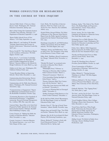# works consulted or researched

# in the course of this inquiry

*American Public Schools: A Facts-at-a-Glance Resource Guide.* **Washington, DC: National Education Association, Spring** 1997**.**

*Back to School: Getting Your Community Involved.* **A Satellite Town Meeting. Videotape. U.S. Department of Education, September** 17**,** 1996**.**

**"Better Public Schools Focus of New Alliance,"** *USA Today,* **September** 29**,** 1997**.**

**Blum, Robert E., and Anthony W. Kneidek. "Strategic Improvement that Focuses on Student Achievement,"** *Educational Leadership,* **April** 1991**.**

**Bracey, Gerald W. "The Sixth Bracey Report on the Condition of Education,"** *Phi Delta Kappan,* **October** 1996**.**

**Bryan, Jerry L. "**21**st-Century Leadership: Pushing from Behind: An Alternative Viewpoint on Public Engagement for School Reform." Keynote address to the Schools by Design Conference, St. Louis, March** 14**,** 1997**.**

*Children in the States 1997.* **Washington, DC: Children's Defense Fund,** 1997**.**

**"Comer Broadens Debate on Improving Schools,"** *Boston Globe,* **December** 21**,** 1997**.**

*Communicating about Restructuring.* **Denver: Education Commission of the States,** 1991**.**

*Communicating with the Public about Education Reform.* **Washington, DC: National Governors' Association,** 1994**.**

**"Communications as Engagement." Report by Millennium Communications Group to the Rockefeller Foundation, October** 1994**.**

**"Community Reactions to New Standards of Educational Performance." Unpublished manuscript. Research/Strategy/Management, Inc., Lanham, MD; May** 1995**, July** 1995**.**

*Contested Values: Tug-of-War in the School Yard.* **Prepared by Public Agenda for the National Issues Forums Institute. Dubuque: Kendall/ Hunt Publishing Company,** 1994**.**

**Cortes, Ernesto, Jr. "Making the Public the Leaders in Education Reform,"** *Education Week,* **November** 22**,** 1995**.**

**Cremin, Lawrence A.** *American Education: The National Experience, 1793–1976.* **New York: Harper & Row,** 1990**.**

**Curti, Merle,** *The Social Ideas of American Educators: With New Chapter on the Last Twenty-Five Years.* **Paterson, NJ: Littlefield, Adams,** 1974**.**

*Divided Within, Besieged Without: The Politics of Education in Four American School Districts.* **Report from the Public Agenda Foundation prepared for the Charles F. Kettering Foundation,** 1993**.**

**Danzberger, Jacqueline P., and Will Friedman. "Public Conversations about the Public's Schools,"** *Phi Delta Kappan,* **June** 1997**.**

**"Dialogue, Action, and Deliberation,"** *Focus on Study Circles,* **The Newsletter of the Study Circles Resource Center, Winter** 1998**.** 

**Dilley, Beth. "Building a Broad Constituency for Change,"** *Education Week,* **November** 22**,** 1995**.**

**"Divided We Stand," an occasional series of articles in** *Education Week,* **March – December** 1997**.**

**"Philadelphia Story," February** 19**. "Drawing on Diversity, Ohio Coalition Seeks Common Ground," March** 12**.**

**"Educated Consumers," March** 26**.**

**"Civic Journalism Putting Spotlight on School Issues," April** 9**.**

**"Parents, Educators Make New Connections with the Internet," April** 23**.**

**"What Has Come between the Public and its Schools?" November** 6**.**

**"A Lesson in Winning Back an Estranged Public," November** 20**.**

**"Polling Techniques Help Districts to Get Closer to their Customers," December** 11**.**

*Do We Still Need Public Schools?* **Bloomington, IN: Phi Delta Kappa, Center on National Education Policy,** 1996**.**

**Drucker, Peter F. "The Age of Social Transformation,"** *Atlantic Monthly,* **November** 1994**.**

**Dykstra, Joan, and Arnold F. Fege. "Not Without Parents,"** *Education Week,* **March** 19**,** 1997**.**

*Education: How Do We Get the Results We Want?* **Dayton, OH: Kettering Foundation,** 1992**.**

**Elmore, Richard F. "Getting to Scale with Good Educational Practice,"** *Harvard Educational Review,* **Spring** 1996**.**

**Erickson, Ansley, "The Clash of Two World-Views: The Radical Right and Progressive School Reform." Senior Thesis, Brown University, April** 1995**.**

**Etzioni, Amitai,** *The New Golden Rule: Community and Morality in a Democratic Society.* **New York: Basic Books,** 1996**.**

*Exchanging Views on Public Education: Town Meeting Participant's Guide.* **Washington, DC: Institute for Education Leadership, and New York: Public Agenda,** 1996**.**

**Farkas, Steve.** *Effective Public Engagement.* **Report prepared by the Public Agenda Foundation for the New Standards Project,** 1993**.**

**"Faculty and Parents Join Forces to Make School Councils Work,"** *Boston Globe,* **December** 21**,** 1997**.**

**"Fourth 'R': Reaching Out to Parents,"** *Providence Journal-Bulletin,* **October** 29**,** 1996**.**

**"From Communities of Wealth to Communities of Meaning,"** *Inferential Focus Briefing,* **October** 28**,** 1994**.**

**Fullan, Michael G. "Turning Systemic Thinking on its Head,"** *Phi Delta Kappan,* **February** 1996**.**

**Gibboney, Richard A.** *The Stone Trumpet: A Story of Practical School Reform, 1960–1990.* **Albany: State University of New York Press,** 1994**.**

**Gladwell, Malcolm, "The Tipping Point,"** *New Yorker,* **June** 3**,** 1996**.**

*The Good – and the Not-So-Good – News about American Schools.* **Phi Delta Kappa, Center on National Education Policy,** 1996**.**

**"Good-Neighbor Policies: More Colleges Working to Better their Hometown,"** *Boston Globe,* **December** 21**,** 1997**.**

**"Good News, Bad News: What People Really Think about the Education Press." Presentation by Public Agenda for the Fiftieth Anniversary Seminar of the Education Writers Association, Washington, DC, May** 1**–**3**,** 1997**.**

*Holding Ground: The Rebirth of Dudley Street.* **Videotape. Boston: Holding Ground Productions,** 1996**.**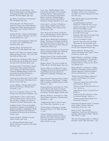**Houston, Paul, and Anne Bryant. "The Roles of Superintendents and School Boards in Engaging the Public with the Public Schools,"** *Phi Delta Kappan,* **June** 1997**.**

**Igo, Shirley. "Continuing a Commitment,"** *Phi Delta Kappan,* **June** 1997**.**

**Immerwahr, John.** *The Broken Contract: Connecticut Citizens Look at Public Education.*  **A Report from Public Agenda prepared for the William Casper Graustein Memorial Fund,** 1994**.**

*In Schools We Trust: A History of School Reform.* **The Merrow Report. Videotape. New York: Learning Matters, Inc.,** 1996**.**

**"Investing in Civic Engagement." Report by** mdc**, Inc., to the Z. Smith Reynolds Foundation, July** 1996**.** 

**Jennings, John F. "An Experiment in Democracy,"** *Phi Delta Kappan,* **June** 1997**.**

**Kaestle, Carl F.** *Pillars of the Republic: Common Schools and American Society, 1780–1860.* **New York: Hill and Wang,** 1983**.**

**Katznelson, Ira, and Margaret Weir.** *Schooling for All: Class, Race, and the Decline of the Democratic Ideal.* **New York: Basic Books,** 1985**.**

**Kretzmann, John P. "Vital Schools, Vibrant Communities." Paper prepared for Cross City Campaign for Urban School Reform conference, Building Bridges: Funders and Community-based School Reformers, Chicago, September** 28**–**30**,** 1997**.**

**"Laboratories for Democracy,"** *Focus on Study Circles,* **The Newsletter of the Study Circles Resource Center, Fall** 1997**.**

**Lawton, Millicent. "Chicago Study Credits School-based Reforms,"** *Education Week,* **November** 5**,** 1997**.**

*Learn & Live.* **Videotape. Nicasio, CA: The George Lucas Educational Foundation,** 1997**.**

**Ledell, Marjorie A.** *How to Avoid Crossfire and Seek Common Ground: A Journey for the Sake of Children.* **Arlington, VA: American Association of School Administrators,** 1995**.**

**LeMahieu, Paul G. "From Accountability Assessment to Authentic Accountability." In** *Standards-based Reform: A Roadmap for Change,* **briefing book prepared by the Education Commission of the States for the Education Summit,** 1996**.**

**Lemann, Nicholas. "Kicking in Groups,"** *Atlantic Monthly,* **April** 1996**.**

*Let's Talk about Education Improvement.* **Denver: Education Commission of the States, December** 1996**.**

**Lewis, Anne. "Building Bridges: Eight Case Studies of Schools and Communities Working Together." Paper prepared for Cross City Campaign for Urban School Reform conference, Building Bridges: Funders and Community-based School Reformers, Chicago, September** 28**–**30**,** 1997**.**

**Lewis, Anne C., and Anne T. Henderson.** *Urgent Message: Families Crucial to School Reform.* **Washington, DC: Center for Law and Education,** 1997**.**

*Listen, Discuss and Act: Parents' and Teachers' Views on Education Reform.* **Denver: Education Commission of the States, June** 1996**.**

**Massell, Diane, Michael Kirst and Margaret Hoppe. "Persistence and Change: Standardsbased Systemic Reform in Nine States,"** *CPRE Policy Briefs,* **Consortium for Policy Research in Education, March** 1997**.**

**Mathews, David. "Elements of a Strong Civil Society and Healthy Public Life." Kettering Foundation, Dayton, OH, April** 1996**.**

**Mathews, David,** *Is There a Public for Public Schools?* **Dayton, OH: Kettering Foundation Press,** 1996**.**

**Mathews, David, "The Lack of a Public for Public Schools,"** *Phi Delta Kappan,* **June** 1997**.**

**Monson, Robert J., and Michael D. Usdan. "Engaging Americans in Education Reform." Unpublished manuscript, Institute for Educational Leadership, Washington, DC,** 1996**.**

**Moore, David W. "Education Push by Clinton Reflects Americans' Top Priority." A Gallup Poll, www.gallup.com/poll/news/**970217**.html, February** 11**,** 1997**.**

**Murnane, Richard J., and Frank Levy. "What General Motors Can Teach U.S. Schools about the Proper Role of Markets in Education Reform,"** *Phi Delta Kappan,* **October** 1996**.**

**Murnane, Richard J., and Frank Levy. "Why Money Matters Sometimes,"** *Education Week,* **September** 11**,** 1996**.**

**"Neighborhoods Work on Power Connection,"** *Boston Globe,* **September** 14**,** 1997**.**

**"Parents Push for Technology at Georgia Elementary School,"** *USA Today,* **December** 17**,** 1997**.**

**"Parents, Taxpayers, and Community Groups," Annenberg Institute for School Reform Focus Group. Transcript. Brown University, Taubman Center for Public Policy, October** 14**,** 1995**.**

**Providence Blueprint for Education.** *Imagine…* **The Report of the** probe **Commission. Providence: Providence Blueprint for Education, May** 1993**.**

**Public Agenda, Reports prepared by Public Agenda, New York:** 

*Accomplishing Reform with Public Engagement: A Map of the Process* **(**1995**)** *Assignment Incomplete: The Unfinished Business of School Reform* **(**1995**)**

*First Things First: What Americans Expect from Public Schools* **(**1994**)**

*Getting By: What American Teenagers Really Think about their Schools* **(**1997**)**

*Given the Circumstances* **(**1996**)**

*Kids These Days: What Americans Really Think about the Next Generation* **(**1997**)**

*The Public Reaction? Yes.* **Videotape. Washington, DC: New Standards Project,** 1995**.**

**Putnam, Robert D. "Bowling Alone: America's Declining Social Capital,"** *Journal of Democracy,* **January** 1995**.**

**Rebell, Michael A., and Robert L. Hughes. "Efficacy and Engagement: The Remedies Problem Posed by** *Sheff v. O'Neill* **– and a Proposed Solution,"** *Connecticut Law Review* 29**:**3 **(Spring** 1997**).**

**Rebell, Michael A., and Robert L. Hughes. "Schools, Communities, and the Courts: A Dialogic Approach to Education Reform,"** *Yale Law and Policy Review* 14**:**1 **(**1996**).**

**"Reality Check: The Politics of Mistrust," a series in the** *Washington Post* **(January – February** 1996**).**

**"Americans Losing Trust in Each Other and Institutions," January** 28**.**

**"Who's in Control? Many Don't Know or Care," January** 29**.**

**"Angry Female Voters a Growing Force," January** 30**.**

**"Public Grows More Receptive to Anti-Government Message," January** 31**.**

**"Fading American Dream Haunts** wwii **Generation," February** 1**.**

*Restructuring the Education System: A Consumer's Guide,* **Volume I. Denver: Education Commission of the States,** 1991**.**

**Reville, S. Paul. "Beyond Public Engagement: Four Points the Overzealous Enthusiast Should Keep in Mind,"** *Education Week,* **March** 27**,** 1996**.**

**"Rewards of Engaging Families in Children's Education,"** *Boston Globe,* **December** 7**,** 1997**.**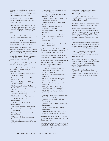**Rice, Tom W., and Alexander F. Sumberg. "Civic Culture and Government Performance in the American States." Unpublished manuscript. Iowa State University,** 1997**.**

**Rose, Lowell C., and Dana Rapp. "The Future of the Public Schools,"** *Phi Delta Kappan,* **June** 1997**.**

**Rosen, Jay, Davis "Buzz" Merritt and Lisa Austin.** *Public Journalism: Theory and Practice – Lessons from Experience.* **Occasional Paper Series. Dayton, OH: Kettering Foundation,** 1997**.**

**Sexton, Robert F. "The Politics of Endurance,"** *Education Week,* **November** 22**,** 1995**.**

**Sizer, Theodore R. "How Gridlock Stymies School Reform in Rhode Island,"** *Providence Journal-Bulletin,* **December** 13**,** 1997**.**

**Spring, Joel H.** *The American School, 1642–1990: Varieties of Historical Interpretation of the Foundations and Development of American Education.* **New York: Longman,** 1990**.**

**Steiny, Julia. "Parent Volunteers Can't Help Schools If No One Is Listening,"** *Providence Journal-Bulletin,* **October** 19**,** 1997**.**

**Stunard, E. Arthur. "The Chicago Forum,"** *Phi Delta Kappan,* **June** 1997**.**

**"Teaching Matters," an occasional series in the** *Providence Journal-Bulletin* **(June – December** 1997**).**

**"Rhode Islanders Value their Teachers, Poll Finds," June** 8**.**

**"Rhode Islanders Happy with Public Schools," June** 9**.**

**"Majority in Poll Say School Discipline a Problem," June** 10**.**

**"On Learning's Frontline: Teachers Say their Work Brings Joy, Frustration," June** 11**.** 

**"After the Poll: Reactions Are in the Eye of the Beholder," June** 15**.**

**"Students: Challenge Us," August** 31**.**

**"Lessons from Room** 224**," September** 21**.**

**"Fighting the Odds at Central," September** 22**.**

**"His Version of Success," September** 23**.**

**"Linda Spies Was Born to Teach," September** 24**.**

**"'Getting Real' at the Met School," September** 25**.**

**"A Teacher with Great Expectations," September** 29**.**

**"R.I. Is Not Getting its Money's Worth," October** 5**.**

**"An Education Gap that Separates Rich from Poor," October** 6**.**

**"Opening the Books on Rhode Island's Schools," October** 7**.**

**"Educators Identify Issues Key to Better Test Scores," October** 8**.**

**"Fixing Our Schools: A Lively Debate," October** 12**.**

**"Most R.I. Students Fail to Meet Standards," October** 19**.**

**"Bearing Down in Central Falls," October** 20**.**

**"R.I. Test Scores: Average, But That's 'Not Good Enough'," October** 21**.**

**"Computers in the Classroom," December** 28**.**

**"Ten Keys for Creating Top High Schools,"** *Chicago,* **February** 1995**.**

**Tyack, David. B.** *The One Best System: A History of American Urban Education.* **Cambridge, MA: Harvard University Press,** 1974**.**

**Van Slyke, Sue. "Building Community for Public Schools,"** *Phi Delta Kappan,* **June** 1997**.**

**"Voices in the Halls: A Probing Examination of Providence Schools," a series in the** *Providence Journal-Bulletin* **(January – February** 1993**).** 

**"Listening to Dreams," January** 25**. "Study Sought Inside View of City's Schools," January** 25**.**

**"Teachers Grapple with Frustration," February** 1**.**

**"Teachers Call in Sick an Average of** 9 **Days a Year," February** 1**.**

**"Principals Cite Paralyzing Trivia," February** 8**.**

**"A Day in a Principal's Life: Education Time Hard to Find," February** 8**.**

**"Study: Mistrust Plagues Schools," February** 8**.**

**"Minority Parents More Dissatisfied with Schools," February** 15**.**

**"Students Feel Cheated by Schools," February** 15**,.**

**"Students Elsewhere Face a Longer Day," February** 22**.**

**"Report Exposes 'Confused' System," February** 28**.**

**"Report's Authors Vow to Push City to Follow Recommendations," February** 28**.**

**Wadsworth, Deborah. "Building a Strategy for Successful Public Engagement,"** *Phi Delta Kappan,* **June** 1997**.**

**Wadsworth, Deborah. "The Public Will Not Blindly Follow the Experts,"** *Education Week,* **November** 22**,** 1995**.**

**Wagner, Tony. "Bringing School Reform Back Down to Earth,"** *Phi Delta Kappan,* **October** 1996**.**

**Wagner, Tony. "The New Village Commons – Improving Schools Together,"** *Educational Leadership,* **February** 1997**.**

**Weil, Rob. "The View Between a Rock and a Hard Place,"** *Phi Delta Kappan,* **June** 1997**.**

**Welber, Susan. "Innovative Methods of Effecting Public Policy through Litigation: Efforts by the Campaign for Fiscal Equity to Change Methods of Financing New York State Public Education,"** *The Common Good* **(Fordham University School of Law), April** 1997**.**

*What Communities Should Know and Be Able to Do about Education.* **From the Annenberg/**cpb **Math and Science Collection. Denver: Education Commission of the States, July** 1993**.**

*What's New in School: An Introduction for Parents.* **Videotape. Alexandria, VA: Association for Supervision and Curriculum Development,** 1994**.**

**Wolk, Ronald A. "A National Strategy of Public Engagement in the Effort to Improve America's Schools,"** *From the Annenberg Institute* **(Annenberg Institute for School Reform), Fall/Winter** 1996**.**

**"Working Towards Excellence: Early Indicators from Schools Implementing New American Schools Designs." Report of New American Schools, Washington, DC, June** 1996**.**